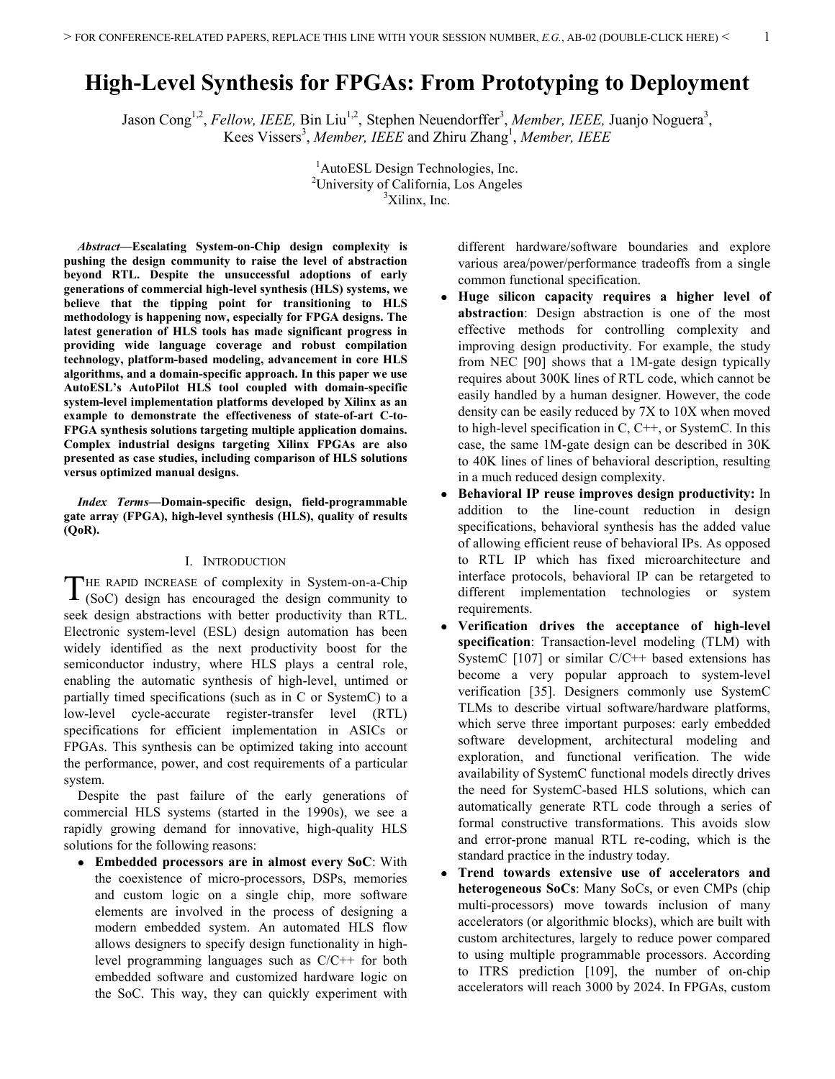# **High-Level Synthesis for FPGAs: From Prototyping to Deployment**

Jason Cong<sup>1,2</sup>, *Fellow, IEEE*, Bin Liu<sup>1,2</sup>, Stephen Neuendorffer<sup>3</sup>, *Member, IEEE*, Juanjo Noguera<sup>3</sup>, Kees Vissers<sup>3</sup>, Member, IEEE and Zhiru Zhang<sup>1</sup>, Member, IEEE

> <sup>1</sup>AutoESL Design Technologies, Inc. <sup>2</sup>University of California, Los Angeles  ${}^{3}$ Xilinx, Inc.

*Abstract***—Escalating System-on-Chip design complexity is pushing the design community to raise the level of abstraction beyond RTL. Despite the unsuccessful adoptions of early generations of commercial high-level synthesis (HLS) systems, we believe that the tipping point for transitioning to HLS methodology is happening now, especially for FPGA designs. The latest generation of HLS tools has made significant progress in providing wide language coverage and robust compilation technology, platform-based modeling, advancement in core HLS algorithms, and a domain-specific approach. In this paper we use AutoESL's AutoPilot HLS tool coupled with domain-specific system-level implementation platforms developed by Xilinx as an example to demonstrate the effectiveness of state-of-art C-to-FPGA synthesis solutions targeting multiple application domains. Complex industrial designs targeting Xilinx FPGAs are also presented as case studies, including comparison of HLS solutions versus optimized manual designs.** 

*Index Terms***—Domain-specific design, field-programmable gate array (FPGA), high-level synthesis (HLS), quality of results (QoR).** 

## I. INTRODUCTION

THE RAPID INCREASE of complexity in System-on-a-Chip THE RAPID INCREASE of complexity in System-on-a-Chip (SoC) design has encouraged the design community to seek design abstractions with better productivity than RTL. Electronic system-level (ESL) design automation has been widely identified as the next productivity boost for the semiconductor industry, where HLS plays a central role, enabling the automatic synthesis of high-level, untimed or partially timed specifications (such as in C or SystemC) to a low-level cycle-accurate register-transfer level (RTL) specifications for efficient implementation in ASICs or FPGAs. This synthesis can be optimized taking into account the performance, power, and cost requirements of a particular system.

Despite the past failure of the early generations of commercial HLS systems (started in the 1990s), we see a rapidly growing demand for innovative, high-quality HLS solutions for the following reasons:

 **Embedded processors are in almost every SoC**: With the coexistence of micro-processors, DSPs, memories and custom logic on a single chip, more software elements are involved in the process of designing a modern embedded system. An automated HLS flow allows designers to specify design functionality in highlevel programming languages such as C/C++ for both embedded software and customized hardware logic on the SoC. This way, they can quickly experiment with different hardware/software boundaries and explore various area/power/performance tradeoffs from a single common functional specification.

- **Huge silicon capacity requires a higher level of abstraction**: Design abstraction is one of the most effective methods for controlling complexity and improving design productivity. For example, the study from NEC [90] shows that a 1M-gate design typically requires about 300K lines of RTL code, which cannot be easily handled by a human designer. However, the code density can be easily reduced by 7X to 10X when moved to high-level specification in C, C++, or SystemC. In this case, the same 1M-gate design can be described in 30K to 40K lines of lines of behavioral description, resulting in a much reduced design complexity.
- **Behavioral IP reuse improves design productivity:** In addition to the line-count reduction in design specifications, behavioral synthesis has the added value of allowing efficient reuse of behavioral IPs. As opposed to RTL IP which has fixed microarchitecture and interface protocols, behavioral IP can be retargeted to different implementation technologies or system requirements.
- **Verification drives the acceptance of high-level specification**: Transaction-level modeling (TLM) with SystemC  $[107]$  or similar  $C/C++$  based extensions has become a very popular approach to system-level verification [35]. Designers commonly use SystemC TLMs to describe virtual software/hardware platforms, which serve three important purposes: early embedded software development, architectural modeling and exploration, and functional verification. The wide availability of SystemC functional models directly drives the need for SystemC-based HLS solutions, which can automatically generate RTL code through a series of formal constructive transformations. This avoids slow and error-prone manual RTL re-coding, which is the standard practice in the industry today.
- **Trend towards extensive use of accelerators and heterogeneous SoCs**: Many SoCs, or even CMPs (chip multi-processors) move towards inclusion of many accelerators (or algorithmic blocks), which are built with custom architectures, largely to reduce power compared to using multiple programmable processors. According to ITRS prediction [109], the number of on-chip accelerators will reach 3000 by 2024. In FPGAs, custom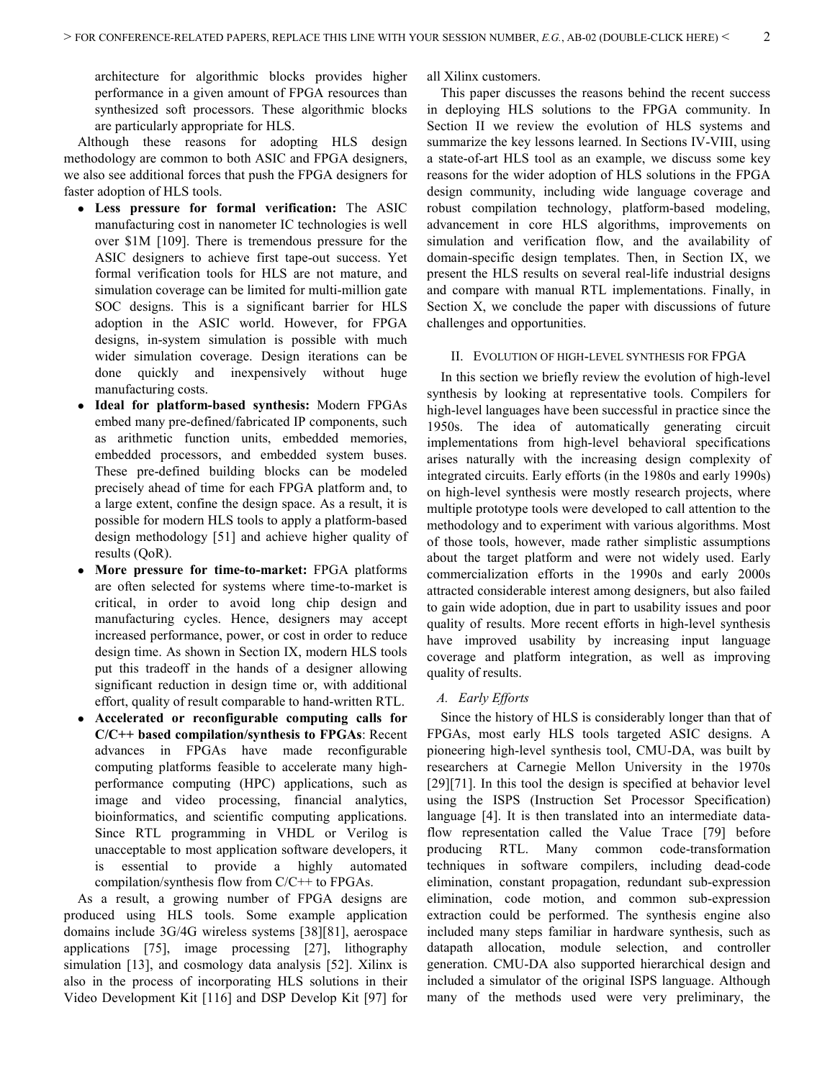architecture for algorithmic blocks provides higher performance in a given amount of FPGA resources than synthesized soft processors. These algorithmic blocks are particularly appropriate for HLS.

Although these reasons for adopting HLS design methodology are common to both ASIC and FPGA designers, we also see additional forces that push the FPGA designers for faster adoption of HLS tools.

- **Less pressure for formal verification:** The ASIC manufacturing cost in nanometer IC technologies is well over \$1M [109]. There is tremendous pressure for the ASIC designers to achieve first tape-out success. Yet formal verification tools for HLS are not mature, and simulation coverage can be limited for multi-million gate SOC designs. This is a significant barrier for HLS adoption in the ASIC world. However, for FPGA designs, in-system simulation is possible with much wider simulation coverage. Design iterations can be done quickly and inexpensively without huge manufacturing costs.
- **Ideal for platform-based synthesis:** Modern FPGAs embed many pre-defined/fabricated IP components, such as arithmetic function units, embedded memories, embedded processors, and embedded system buses. These pre-defined building blocks can be modeled precisely ahead of time for each FPGA platform and, to a large extent, confine the design space. As a result, it is possible for modern HLS tools to apply a platform-based design methodology [51] and achieve higher quality of results (QoR).
- **More pressure for time-to-market:** FPGA platforms are often selected for systems where time-to-market is critical, in order to avoid long chip design and manufacturing cycles. Hence, designers may accept increased performance, power, or cost in order to reduce design time. As shown in Section IX, modern HLS tools put this tradeoff in the hands of a designer allowing significant reduction in design time or, with additional effort, quality of result comparable to hand-written RTL.
- **Accelerated or reconfigurable computing calls for C/C++ based compilation/synthesis to FPGAs**: Recent advances in FPGAs have made reconfigurable computing platforms feasible to accelerate many highperformance computing (HPC) applications, such as image and video processing, financial analytics, bioinformatics, and scientific computing applications. Since RTL programming in VHDL or Verilog is unacceptable to most application software developers, it is essential to provide a highly automated compilation/synthesis flow from C/C++ to FPGAs.

As a result, a growing number of FPGA designs are produced using HLS tools. Some example application domains include 3G/4G wireless systems [38][81], aerospace applications [75], image processing [27], lithography simulation [13], and cosmology data analysis [52]. Xilinx is also in the process of incorporating HLS solutions in their Video Development Kit [116] and DSP Develop Kit [97] for all Xilinx customers.

This paper discusses the reasons behind the recent success in deploying HLS solutions to the FPGA community. In Section II we review the evolution of HLS systems and summarize the key lessons learned. In Sections IV-VIII, using a state-of-art HLS tool as an example, we discuss some key reasons for the wider adoption of HLS solutions in the FPGA design community, including wide language coverage and robust compilation technology, platform-based modeling, advancement in core HLS algorithms, improvements on simulation and verification flow, and the availability of domain-specific design templates. Then, in Section IX, we present the HLS results on several real-life industrial designs and compare with manual RTL implementations. Finally, in Section X, we conclude the paper with discussions of future challenges and opportunities.

#### II. EVOLUTION OF HIGH-LEVEL SYNTHESIS FOR FPGA

In this section we briefly review the evolution of high-level synthesis by looking at representative tools. Compilers for high-level languages have been successful in practice since the 1950s. The idea of automatically generating circuit implementations from high-level behavioral specifications arises naturally with the increasing design complexity of integrated circuits. Early efforts (in the 1980s and early 1990s) on high-level synthesis were mostly research projects, where multiple prototype tools were developed to call attention to the methodology and to experiment with various algorithms. Most of those tools, however, made rather simplistic assumptions about the target platform and were not widely used. Early commercialization efforts in the 1990s and early 2000s attracted considerable interest among designers, but also failed to gain wide adoption, due in part to usability issues and poor quality of results. More recent efforts in high-level synthesis have improved usability by increasing input language coverage and platform integration, as well as improving quality of results.

## *A. Early Efforts*

Since the history of HLS is considerably longer than that of FPGAs, most early HLS tools targeted ASIC designs. A pioneering high-level synthesis tool, CMU-DA, was built by researchers at Carnegie Mellon University in the 1970s [29][71]. In this tool the design is specified at behavior level using the ISPS (Instruction Set Processor Specification) language [4]. It is then translated into an intermediate dataflow representation called the Value Trace [79] before producing RTL. Many common code-transformation techniques in software compilers, including dead-code elimination, constant propagation, redundant sub-expression elimination, code motion, and common sub-expression extraction could be performed. The synthesis engine also included many steps familiar in hardware synthesis, such as datapath allocation, module selection, and controller generation. CMU-DA also supported hierarchical design and included a simulator of the original ISPS language. Although many of the methods used were very preliminary, the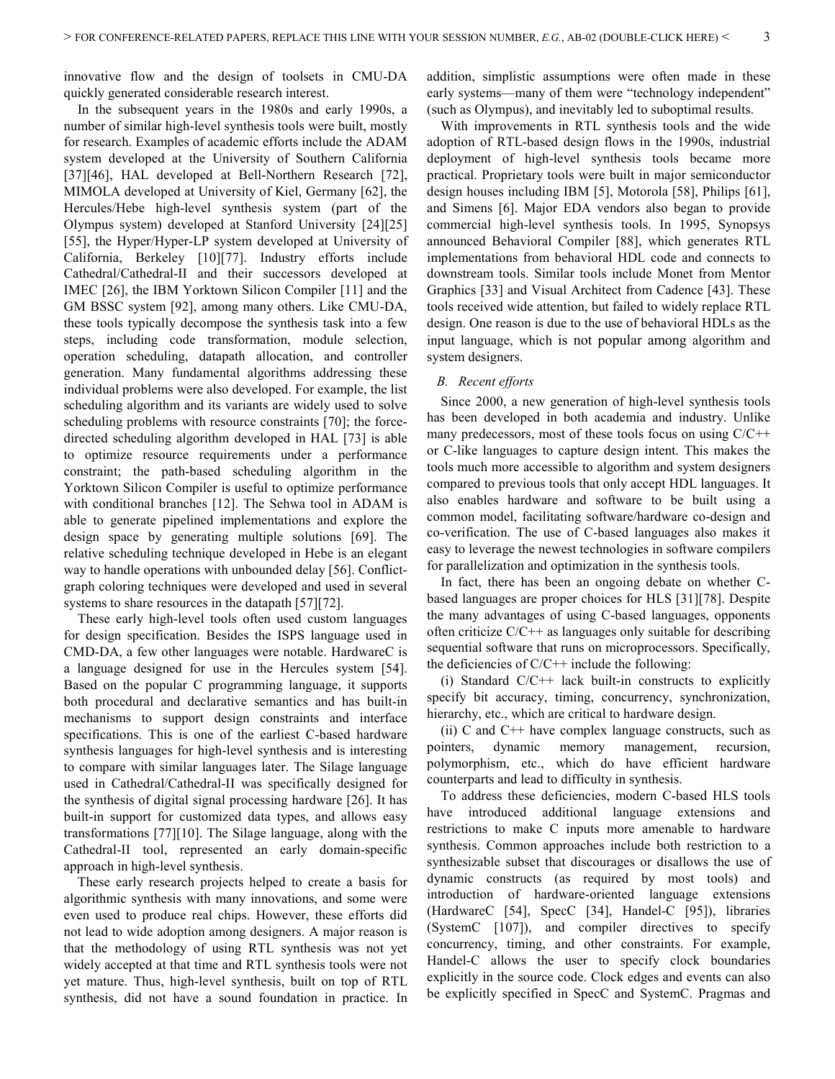innovative flow and the design of toolsets in CMU-DA quickly generated considerable research interest.

In the subsequent years in the 1980s and early 1990s, a number of similar high-level synthesis tools were built, mostly for research. Examples of academic efforts include the ADAM system developed at the University of Southern California [37][46], HAL developed at Bell-Northern Research [72], MIMOLA developed at University of Kiel, Germany [62], the Hercules/Hebe high-level synthesis system (part of the Olympus system) developed at Stanford University [24][25] [55], the Hyper/Hyper-LP system developed at University of California, Berkeley [10][77]. Industry efforts include Cathedral/Cathedral-II and their successors developed at IMEC [26], the IBM Yorktown Silicon Compiler [11] and the GM BSSC system [92], among many others. Like CMU-DA, these tools typically decompose the synthesis task into a few steps, including code transformation, module selection, operation scheduling, datapath allocation, and controller generation. Many fundamental algorithms addressing these individual problems were also developed. For example, the list scheduling algorithm and its variants are widely used to solve scheduling problems with resource constraints [70]; the forcedirected scheduling algorithm developed in HAL [73] is able to optimize resource requirements under a performance constraint; the path-based scheduling algorithm in the Yorktown Silicon Compiler is useful to optimize performance with conditional branches [12]. The Sehwa tool in ADAM is able to generate pipelined implementations and explore the design space by generating multiple solutions [69]. The relative scheduling technique developed in Hebe is an elegant way to handle operations with unbounded delay [56]. Conflictgraph coloring techniques were developed and used in several systems to share resources in the datapath [57][72].

These early high-level tools often used custom languages for design specification. Besides the ISPS language used in CMD-DA, a few other languages were notable. HardwareC is a language designed for use in the Hercules system [54]. Based on the popular C programming language, it supports both procedural and declarative semantics and has built-in mechanisms to support design constraints and interface specifications. This is one of the earliest C-based hardware synthesis languages for high-level synthesis and is interesting to compare with similar languages later. The Silage language used in Cathedral/Cathedral-II was specifically designed for the synthesis of digital signal processing hardware [26]. It has built-in support for customized data types, and allows easy transformations [77][10]. The Silage language, along with the Cathedral-II tool, represented an early domain-specific approach in high-level synthesis.

These early research projects helped to create a basis for algorithmic synthesis with many innovations, and some were even used to produce real chips. However, these efforts did not lead to wide adoption among designers. A major reason is that the methodology of using RTL synthesis was not yet widely accepted at that time and RTL synthesis tools were not yet mature. Thus, high-level synthesis, built on top of RTL synthesis, did not have a sound foundation in practice. In

addition, simplistic assumptions were often made in these early systems—many of them were "technology independent" (such as Olympus), and inevitably led to suboptimal results.

With improvements in RTL synthesis tools and the wide adoption of RTL-based design flows in the 1990s, industrial deployment of high-level synthesis tools became more practical. Proprietary tools were built in major semiconductor design houses including IBM [5], Motorola [58], Philips [61], and Simens [6]. Major EDA vendors also began to provide commercial high-level synthesis tools. In 1995, Synopsys announced Behavioral Compiler [88], which generates RTL implementations from behavioral HDL code and connects to downstream tools. Similar tools include Monet from Mentor Graphics [33] and Visual Architect from Cadence [43]. These tools received wide attention, but failed to widely replace RTL design. One reason is due to the use of behavioral HDLs as the input language, which is not popular among algorithm and system designers.

#### *B. Recent efforts*

Since 2000, a new generation of high-level synthesis tools has been developed in both academia and industry. Unlike many predecessors, most of these tools focus on using C/C++ or C-like languages to capture design intent. This makes the tools much more accessible to algorithm and system designers compared to previous tools that only accept HDL languages. It also enables hardware and software to be built using a common model, facilitating software/hardware co-design and co-verification. The use of C-based languages also makes it easy to leverage the newest technologies in software compilers for parallelization and optimization in the synthesis tools.

In fact, there has been an ongoing debate on whether Cbased languages are proper choices for HLS [31][78]. Despite the many advantages of using C-based languages, opponents often criticize  $C/C++$  as languages only suitable for describing sequential software that runs on microprocessors. Specifically, the deficiencies of  $C/C++$  include the following:

(i) Standard C/C++ lack built-in constructs to explicitly specify bit accuracy, timing, concurrency, synchronization, hierarchy, etc., which are critical to hardware design.

(ii) C and  $C^{++}$  have complex language constructs, such as pointers, dynamic memory management, recursion, polymorphism, etc., which do have efficient hardware counterparts and lead to difficulty in synthesis.

To address these deficiencies, modern C-based HLS tools have introduced additional language extensions and restrictions to make C inputs more amenable to hardware synthesis. Common approaches include both restriction to a synthesizable subset that discourages or disallows the use of dynamic constructs (as required by most tools) and introduction of hardware-oriented language extensions (HardwareC [54], SpecC [34], Handel-C [95]), libraries (SystemC [107]), and compiler directives to specify concurrency, timing, and other constraints. For example, Handel-C allows the user to specify clock boundaries explicitly in the source code. Clock edges and events can also be explicitly specified in SpecC and SystemC. Pragmas and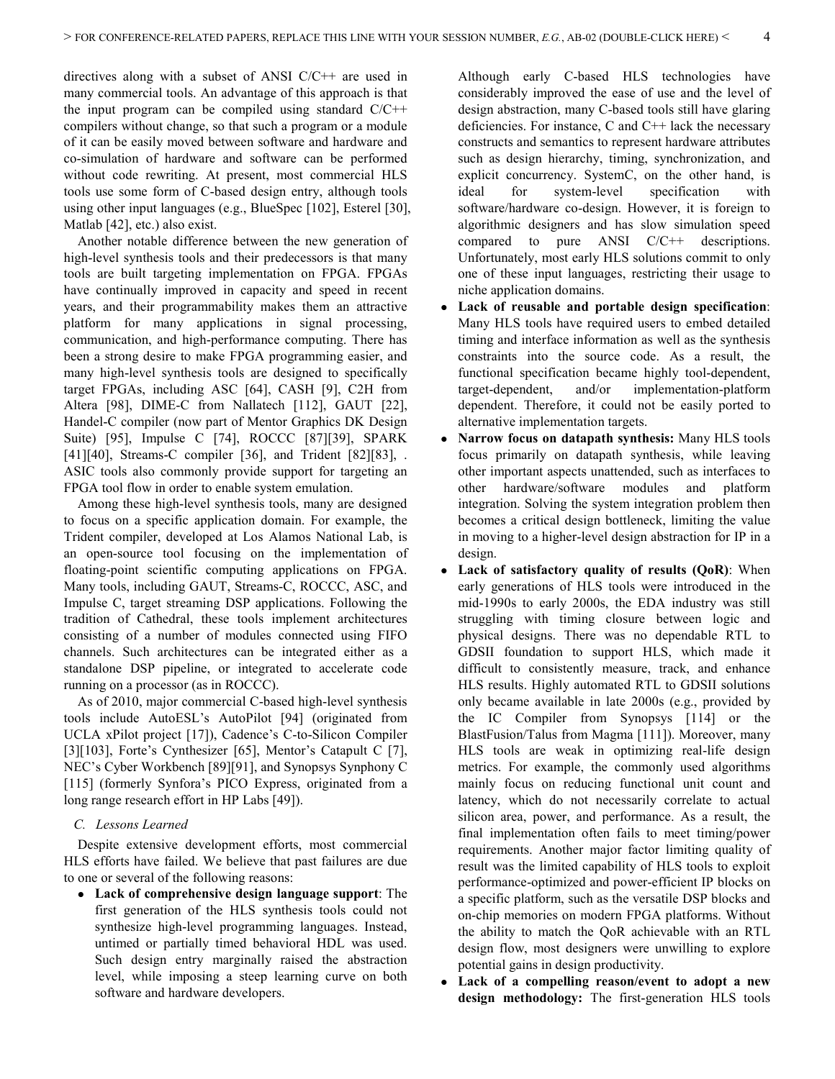directives along with a subset of ANSI C/C++ are used in many commercial tools. An advantage of this approach is that the input program can be compiled using standard  $C/C++$ compilers without change, so that such a program or a module of it can be easily moved between software and hardware and co-simulation of hardware and software can be performed without code rewriting. At present, most commercial HLS tools use some form of C-based design entry, although tools using other input languages (e.g., BlueSpec [102], Esterel [30], Matlab [42], etc.) also exist.

Another notable difference between the new generation of high-level synthesis tools and their predecessors is that many tools are built targeting implementation on FPGA. FPGAs have continually improved in capacity and speed in recent years, and their programmability makes them an attractive platform for many applications in signal processing, communication, and high-performance computing. There has been a strong desire to make FPGA programming easier, and many high-level synthesis tools are designed to specifically target FPGAs, including ASC [64], CASH [9], C2H from Altera [98], DIME-C from Nallatech [112], GAUT [22], Handel-C compiler (now part of Mentor Graphics DK Design Suite) [95], Impulse C [74], ROCCC [87][39], SPARK [41][40], Streams-C compiler [36], and Trident [82][83], . ASIC tools also commonly provide support for targeting an FPGA tool flow in order to enable system emulation.

Among these high-level synthesis tools, many are designed to focus on a specific application domain. For example, the Trident compiler, developed at Los Alamos National Lab, is an open-source tool focusing on the implementation of floating-point scientific computing applications on FPGA. Many tools, including GAUT, Streams-C, ROCCC, ASC, and Impulse C, target streaming DSP applications. Following the tradition of Cathedral, these tools implement architectures consisting of a number of modules connected using FIFO channels. Such architectures can be integrated either as a standalone DSP pipeline, or integrated to accelerate code running on a processor (as in ROCCC).

As of 2010, major commercial C-based high-level synthesis tools include AutoESL's AutoPilot [94] (originated from UCLA xPilot project [17]), Cadence's C-to-Silicon Compiler [3][103], Forte's Cynthesizer [65], Mentor's Catapult C [7], NEC's Cyber Workbench [89][91], and Synopsys Synphony C [115] (formerly Synfora's PICO Express, originated from a long range research effort in HP Labs [49]).

#### *C. Lessons Learned*

Despite extensive development efforts, most commercial HLS efforts have failed. We believe that past failures are due to one or several of the following reasons:

 **Lack of comprehensive design language support**: The first generation of the HLS synthesis tools could not synthesize high-level programming languages. Instead, untimed or partially timed behavioral HDL was used. Such design entry marginally raised the abstraction level, while imposing a steep learning curve on both software and hardware developers.

Although early C-based HLS technologies have considerably improved the ease of use and the level of design abstraction, many C-based tools still have glaring deficiencies. For instance, C and  $C++$  lack the necessary constructs and semantics to represent hardware attributes such as design hierarchy, timing, synchronization, and explicit concurrency. SystemC, on the other hand, is ideal for system-level specification with software/hardware co-design. However, it is foreign to algorithmic designers and has slow simulation speed compared to pure ANSI C/C++ descriptions. Unfortunately, most early HLS solutions commit to only one of these input languages, restricting their usage to niche application domains.

- **Lack of reusable and portable design specification**: Many HLS tools have required users to embed detailed timing and interface information as well as the synthesis constraints into the source code. As a result, the functional specification became highly tool-dependent, target-dependent, and/or implementation-platform dependent. Therefore, it could not be easily ported to alternative implementation targets.
- Narrow focus on datapath synthesis: Many HLS tools focus primarily on datapath synthesis, while leaving other important aspects unattended, such as interfaces to other hardware/software modules and platform integration. Solving the system integration problem then becomes a critical design bottleneck, limiting the value in moving to a higher-level design abstraction for IP in a design.
- **Lack of satisfactory quality of results (QoR)**: When early generations of HLS tools were introduced in the mid-1990s to early 2000s, the EDA industry was still struggling with timing closure between logic and physical designs. There was no dependable RTL to GDSII foundation to support HLS, which made it difficult to consistently measure, track, and enhance HLS results. Highly automated RTL to GDSII solutions only became available in late 2000s (e.g., provided by the IC Compiler from Synopsys [114] or the BlastFusion/Talus from Magma [111]). Moreover, many HLS tools are weak in optimizing real-life design metrics. For example, the commonly used algorithms mainly focus on reducing functional unit count and latency, which do not necessarily correlate to actual silicon area, power, and performance. As a result, the final implementation often fails to meet timing/power requirements. Another major factor limiting quality of result was the limited capability of HLS tools to exploit performance-optimized and power-efficient IP blocks on a specific platform, such as the versatile DSP blocks and on-chip memories on modern FPGA platforms. Without the ability to match the QoR achievable with an RTL design flow, most designers were unwilling to explore potential gains in design productivity.
- **Lack of a compelling reason/event to adopt a new design methodology:** The first-generation HLS tools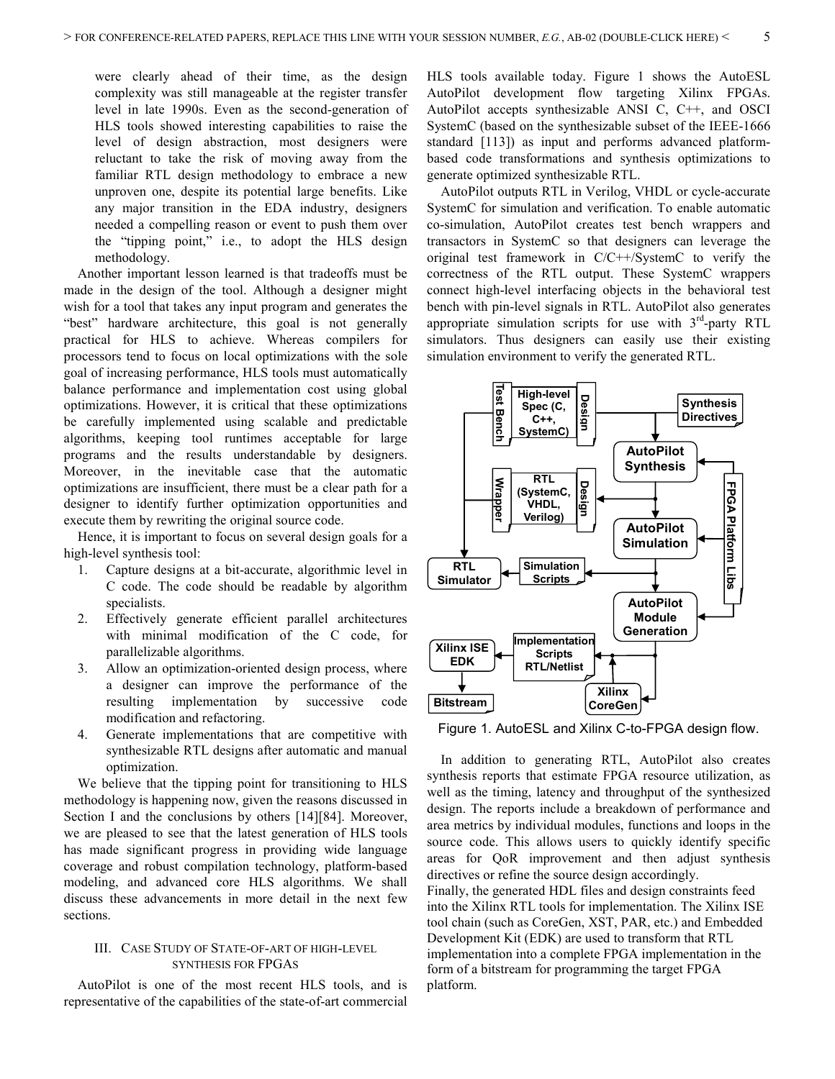were clearly ahead of their time, as the design complexity was still manageable at the register transfer level in late 1990s. Even as the second-generation of HLS tools showed interesting capabilities to raise the level of design abstraction, most designers were reluctant to take the risk of moving away from the familiar RTL design methodology to embrace a new unproven one, despite its potential large benefits. Like any major transition in the EDA industry, designers needed a compelling reason or event to push them over the "tipping point," i.e., to adopt the HLS design methodology.

Another important lesson learned is that tradeoffs must be made in the design of the tool. Although a designer might wish for a tool that takes any input program and generates the "best" hardware architecture, this goal is not generally practical for HLS to achieve. Whereas compilers for processors tend to focus on local optimizations with the sole goal of increasing performance, HLS tools must automatically balance performance and implementation cost using global optimizations. However, it is critical that these optimizations be carefully implemented using scalable and predictable algorithms, keeping tool runtimes acceptable for large programs and the results understandable by designers. Moreover, in the inevitable case that the automatic optimizations are insufficient, there must be a clear path for a designer to identify further optimization opportunities and execute them by rewriting the original source code.

Hence, it is important to focus on several design goals for a high-level synthesis tool:

- 1. Capture designs at a bit-accurate, algorithmic level in C code. The code should be readable by algorithm specialists.
- 2. Effectively generate efficient parallel architectures with minimal modification of the C code, for parallelizable algorithms.
- 3. Allow an optimization-oriented design process, where a designer can improve the performance of the resulting implementation by successive code modification and refactoring.
- 4. Generate implementations that are competitive with synthesizable RTL designs after automatic and manual optimization.

We believe that the tipping point for transitioning to HLS methodology is happening now, given the reasons discussed in Section I and the conclusions by others [14][84]. Moreover, we are pleased to see that the latest generation of HLS tools has made significant progress in providing wide language coverage and robust compilation technology, platform-based modeling, and advanced core HLS algorithms. We shall discuss these advancements in more detail in the next few sections.

## III. CASE STUDY OF STATE-OF-ART OF HIGH-LEVEL SYNTHESIS FOR FPGAS

AutoPilot is one of the most recent HLS tools, and is representative of the capabilities of the state-of-art commercial

HLS tools available today. Figure 1 shows the AutoESL AutoPilot development flow targeting Xilinx FPGAs. AutoPilot accepts synthesizable ANSI C, C++, and OSCI SystemC (based on the synthesizable subset of the IEEE-1666 standard [113]) as input and performs advanced platformbased code transformations and synthesis optimizations to generate optimized synthesizable RTL.

AutoPilot outputs RTL in Verilog, VHDL or cycle-accurate SystemC for simulation and verification. To enable automatic co-simulation, AutoPilot creates test bench wrappers and transactors in SystemC so that designers can leverage the original test framework in C/C++/SystemC to verify the correctness of the RTL output. These SystemC wrappers connect high-level interfacing objects in the behavioral test bench with pin-level signals in RTL. AutoPilot also generates appropriate simulation scripts for use with  $3<sup>rd</sup>$ -party RTL simulators. Thus designers can easily use their existing simulation environment to verify the generated RTL.



Figure 1. AutoESL and Xilinx C-to-FPGA design flow.

In addition to generating RTL, AutoPilot also creates synthesis reports that estimate FPGA resource utilization, as well as the timing, latency and throughput of the synthesized design. The reports include a breakdown of performance and area metrics by individual modules, functions and loops in the source code. This allows users to quickly identify specific areas for QoR improvement and then adjust synthesis directives or refine the source design accordingly. Finally, the generated HDL files and design constraints feed into the Xilinx RTL tools for implementation. The Xilinx ISE tool chain (such as CoreGen, XST, PAR, etc.) and Embedded Development Kit (EDK) are used to transform that RTL implementation into a complete FPGA implementation in the form of a bitstream for programming the target FPGA platform.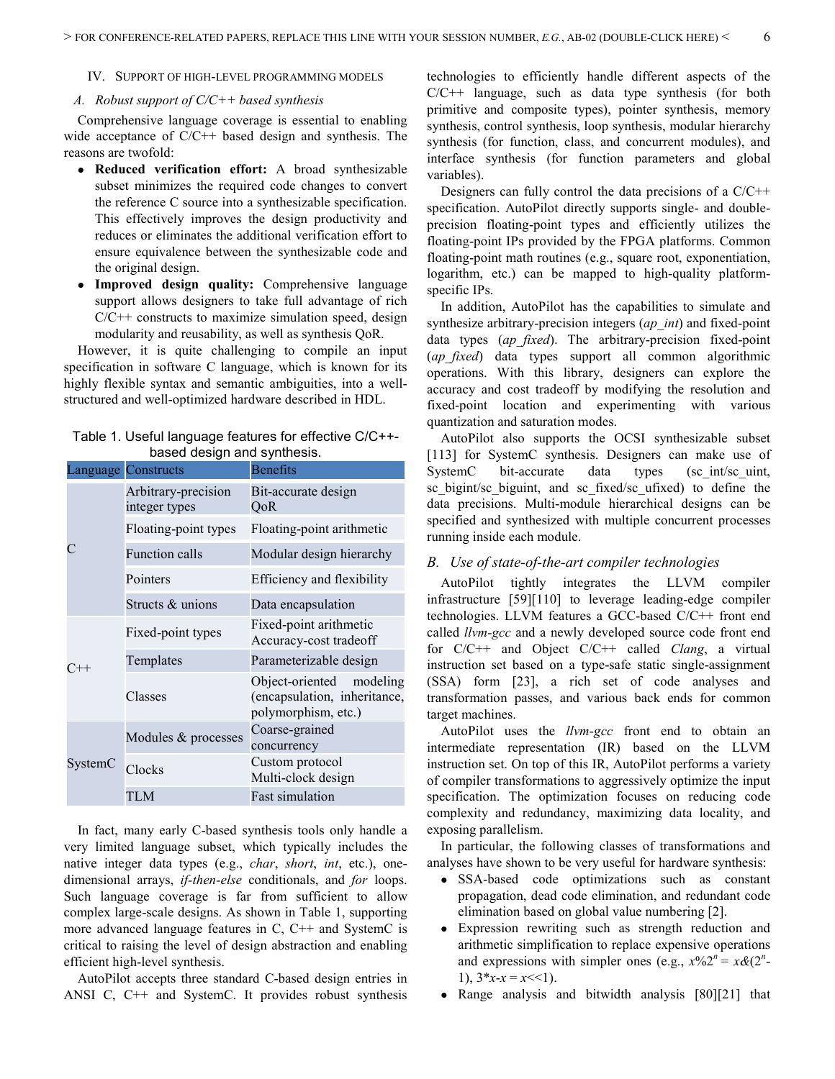## IV. SUPPORT OF HIGH-LEVEL PROGRAMMING MODELS

#### *A. Robust support of C/C++ based synthesis*

Comprehensive language coverage is essential to enabling wide acceptance of  $C/C++$  based design and synthesis. The reasons are twofold:

- **Reduced verification effort:** A broad synthesizable subset minimizes the required code changes to convert the reference C source into a synthesizable specification. This effectively improves the design productivity and reduces or eliminates the additional verification effort to ensure equivalence between the synthesizable code and the original design.
- **Improved design quality:** Comprehensive language support allows designers to take full advantage of rich  $C/C++$  constructs to maximize simulation speed, design modularity and reusability, as well as synthesis QoR.

However, it is quite challenging to compile an input specification in software C language, which is known for its highly flexible syntax and semantic ambiguities, into a wellstructured and well-optimized hardware described in HDL.

| Table 1. Useful language features for effective C/C++- |
|--------------------------------------------------------|
| based design and synthesis.                            |

|         | anguage Constructs                   | Benefits                                                                        |  |  |
|---------|--------------------------------------|---------------------------------------------------------------------------------|--|--|
|         | Arbitrary-precision<br>integer types | Bit-accurate design<br>QoR                                                      |  |  |
|         | Floating-point types                 | Floating-point arithmetic                                                       |  |  |
|         | <b>Function calls</b>                | Modular design hierarchy                                                        |  |  |
|         | Pointers                             | Efficiency and flexibility                                                      |  |  |
|         | Structs & unions                     | Data encapsulation                                                              |  |  |
|         | Fixed-point types                    | Fixed-point arithmetic<br>Accuracy-cost tradeoff                                |  |  |
| $C++$   | Templates                            | Parameterizable design                                                          |  |  |
|         | Classes                              | Object-oriented modeling<br>(encapsulation, inheritance,<br>polymorphism, etc.) |  |  |
| SystemC | Modules & processes                  | Coarse-grained<br>concurrency                                                   |  |  |
|         | Clocks                               | Custom protocol<br>Multi-clock design                                           |  |  |
|         | TLM                                  | <b>Fast simulation</b>                                                          |  |  |

In fact, many early C-based synthesis tools only handle a very limited language subset, which typically includes the native integer data types (e.g., *char*, *short*, *int*, etc.), onedimensional arrays, *if-then-else* conditionals, and *for* loops. Such language coverage is far from sufficient to allow complex large-scale designs. As shown in Table 1, supporting more advanced language features in C, C++ and SystemC is critical to raising the level of design abstraction and enabling efficient high-level synthesis.

AutoPilot accepts three standard C-based design entries in ANSI C, C++ and SystemC. It provides robust synthesis technologies to efficiently handle different aspects of the  $C/C++$  language, such as data type synthesis (for both primitive and composite types), pointer synthesis, memory synthesis, control synthesis, loop synthesis, modular hierarchy synthesis (for function, class, and concurrent modules), and interface synthesis (for function parameters and global variables).

Designers can fully control the data precisions of a C/C++ specification. AutoPilot directly supports single- and doubleprecision floating-point types and efficiently utilizes the floating-point IPs provided by the FPGA platforms. Common floating-point math routines (e.g., square root, exponentiation, logarithm, etc.) can be mapped to high-quality platformspecific IPs.

In addition, AutoPilot has the capabilities to simulate and synthesize arbitrary-precision integers (*ap\_int*) and fixed-point data types (*ap\_fixed*). The arbitrary-precision fixed-point (*ap\_fixed*) data types support all common algorithmic operations. With this library, designers can explore the accuracy and cost tradeoff by modifying the resolution and fixed-point location and experimenting with various quantization and saturation modes.

AutoPilot also supports the OCSI synthesizable subset [113] for SystemC synthesis. Designers can make use of SystemC bit-accurate data types (sc\_int/sc\_uint, sc\_bigint/sc\_biguint, and sc\_fixed/sc\_ufixed) to define the data precisions. Multi-module hierarchical designs can be specified and synthesized with multiple concurrent processes running inside each module.

# *B. Use of state-of-the-art compiler technologies*

AutoPilot tightly integrates the LLVM compiler infrastructure [59][110] to leverage leading-edge compiler technologies. LLVM features a GCC-based C/C++ front end called *llvm-gcc* and a newly developed source code front end for C/C++ and Object C/C++ called *Clang*, a virtual instruction set based on a type-safe static single-assignment (SSA) form [23], a rich set of code analyses and transformation passes, and various back ends for common target machines.

AutoPilot uses the *llvm-gcc* front end to obtain an intermediate representation (IR) based on the LLVM instruction set. On top of this IR, AutoPilot performs a variety of compiler transformations to aggressively optimize the input specification. The optimization focuses on reducing code complexity and redundancy, maximizing data locality, and exposing parallelism.

In particular, the following classes of transformations and analyses have shown to be very useful for hardware synthesis:

- SSA-based code optimizations such as constant propagation, dead code elimination, and redundant code elimination based on global value numbering [2].
- Expression rewriting such as strength reduction and arithmetic simplification to replace expensive operations and expressions with simpler ones (e.g.,  $x\frac{0}{2} = x \cdot \frac{\mathcal{X}}{2}$ 1),  $3*x-x=<1$ ).
- Range analysis and bitwidth analysis [80][21] that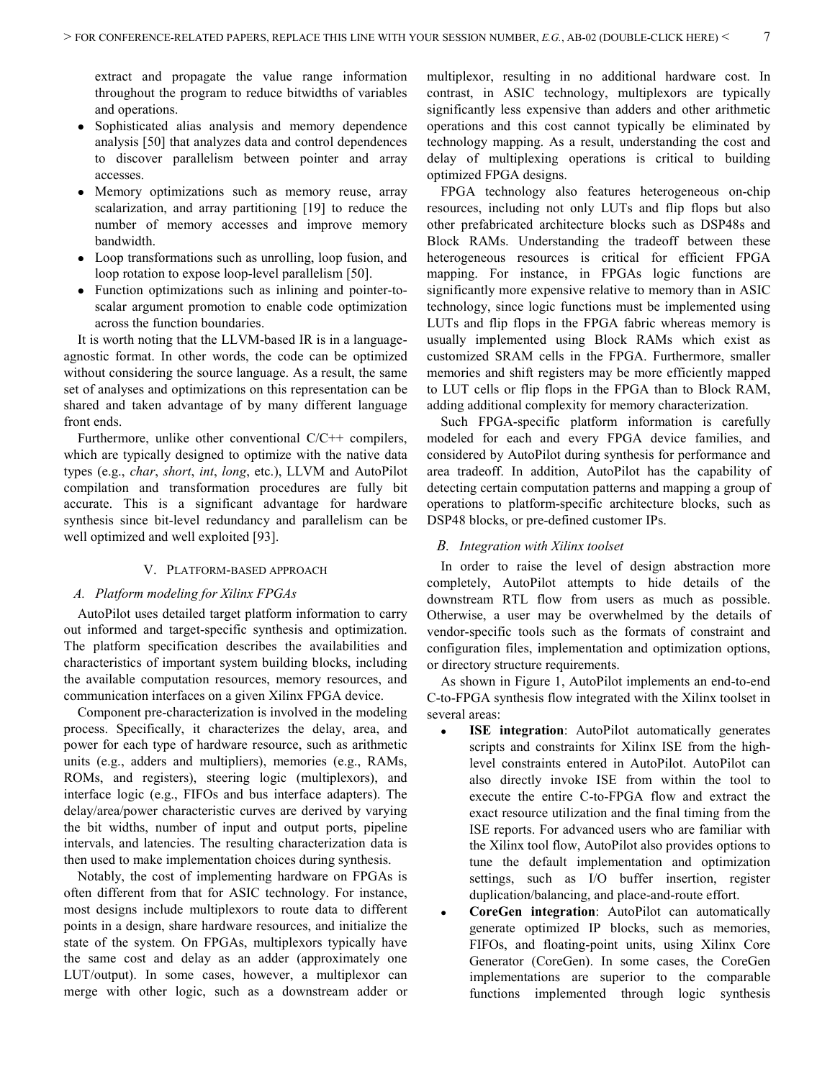extract and propagate the value range information throughout the program to reduce bitwidths of variables and operations.

- Sophisticated alias analysis and memory dependence analysis [50] that analyzes data and control dependences to discover parallelism between pointer and array accesses.
- Memory optimizations such as memory reuse, array scalarization, and array partitioning [19] to reduce the number of memory accesses and improve memory bandwidth.
- Loop transformations such as unrolling, loop fusion, and loop rotation to expose loop-level parallelism [50].
- Function optimizations such as inlining and pointer-toscalar argument promotion to enable code optimization across the function boundaries.

It is worth noting that the LLVM-based IR is in a languageagnostic format. In other words, the code can be optimized without considering the source language. As a result, the same set of analyses and optimizations on this representation can be shared and taken advantage of by many different language front ends.

Furthermore, unlike other conventional C/C++ compilers, which are typically designed to optimize with the native data types (e.g., *char*, *short*, *int*, *long*, etc.), LLVM and AutoPilot compilation and transformation procedures are fully bit accurate. This is a significant advantage for hardware synthesis since bit-level redundancy and parallelism can be well optimized and well exploited [93].

## V. PLATFORM-BASED APPROACH

#### *A. Platform modeling for Xilinx FPGAs*

AutoPilot uses detailed target platform information to carry out informed and target-specific synthesis and optimization. The platform specification describes the availabilities and characteristics of important system building blocks, including the available computation resources, memory resources, and communication interfaces on a given Xilinx FPGA device.

Component pre-characterization is involved in the modeling process. Specifically, it characterizes the delay, area, and power for each type of hardware resource, such as arithmetic units (e.g., adders and multipliers), memories (e.g., RAMs, ROMs, and registers), steering logic (multiplexors), and interface logic (e.g., FIFOs and bus interface adapters). The delay/area/power characteristic curves are derived by varying the bit widths, number of input and output ports, pipeline intervals, and latencies. The resulting characterization data is then used to make implementation choices during synthesis.

Notably, the cost of implementing hardware on FPGAs is often different from that for ASIC technology. For instance, most designs include multiplexors to route data to different points in a design, share hardware resources, and initialize the state of the system. On FPGAs, multiplexors typically have the same cost and delay as an adder (approximately one LUT/output). In some cases, however, a multiplexor can merge with other logic, such as a downstream adder or multiplexor, resulting in no additional hardware cost. In contrast, in ASIC technology, multiplexors are typically significantly less expensive than adders and other arithmetic operations and this cost cannot typically be eliminated by technology mapping. As a result, understanding the cost and delay of multiplexing operations is critical to building optimized FPGA designs.

FPGA technology also features heterogeneous on-chip resources, including not only LUTs and flip flops but also other prefabricated architecture blocks such as DSP48s and Block RAMs. Understanding the tradeoff between these heterogeneous resources is critical for efficient FPGA mapping. For instance, in FPGAs logic functions are significantly more expensive relative to memory than in ASIC technology, since logic functions must be implemented using LUTs and flip flops in the FPGA fabric whereas memory is usually implemented using Block RAMs which exist as customized SRAM cells in the FPGA. Furthermore, smaller memories and shift registers may be more efficiently mapped to LUT cells or flip flops in the FPGA than to Block RAM, adding additional complexity for memory characterization.

Such FPGA-specific platform information is carefully modeled for each and every FPGA device families, and considered by AutoPilot during synthesis for performance and area tradeoff. In addition, AutoPilot has the capability of detecting certain computation patterns and mapping a group of operations to platform-specific architecture blocks, such as DSP48 blocks, or pre-defined customer IPs.

#### *B. Integration with Xilinx toolset*

In order to raise the level of design abstraction more completely, AutoPilot attempts to hide details of the downstream RTL flow from users as much as possible. Otherwise, a user may be overwhelmed by the details of vendor-specific tools such as the formats of constraint and configuration files, implementation and optimization options, or directory structure requirements.

As shown in Figure 1, AutoPilot implements an end-to-end C-to-FPGA synthesis flow integrated with the Xilinx toolset in several areas:

- **ISE integration**: AutoPilot automatically generates scripts and constraints for Xilinx ISE from the highlevel constraints entered in AutoPilot. AutoPilot can also directly invoke ISE from within the tool to execute the entire C-to-FPGA flow and extract the exact resource utilization and the final timing from the ISE reports. For advanced users who are familiar with the Xilinx tool flow, AutoPilot also provides options to tune the default implementation and optimization settings, such as I/O buffer insertion, register duplication/balancing, and place-and-route effort.
- **CoreGen integration**: AutoPilot can automatically generate optimized IP blocks, such as memories, FIFOs, and floating-point units, using Xilinx Core Generator (CoreGen). In some cases, the CoreGen implementations are superior to the comparable functions implemented through logic synthesis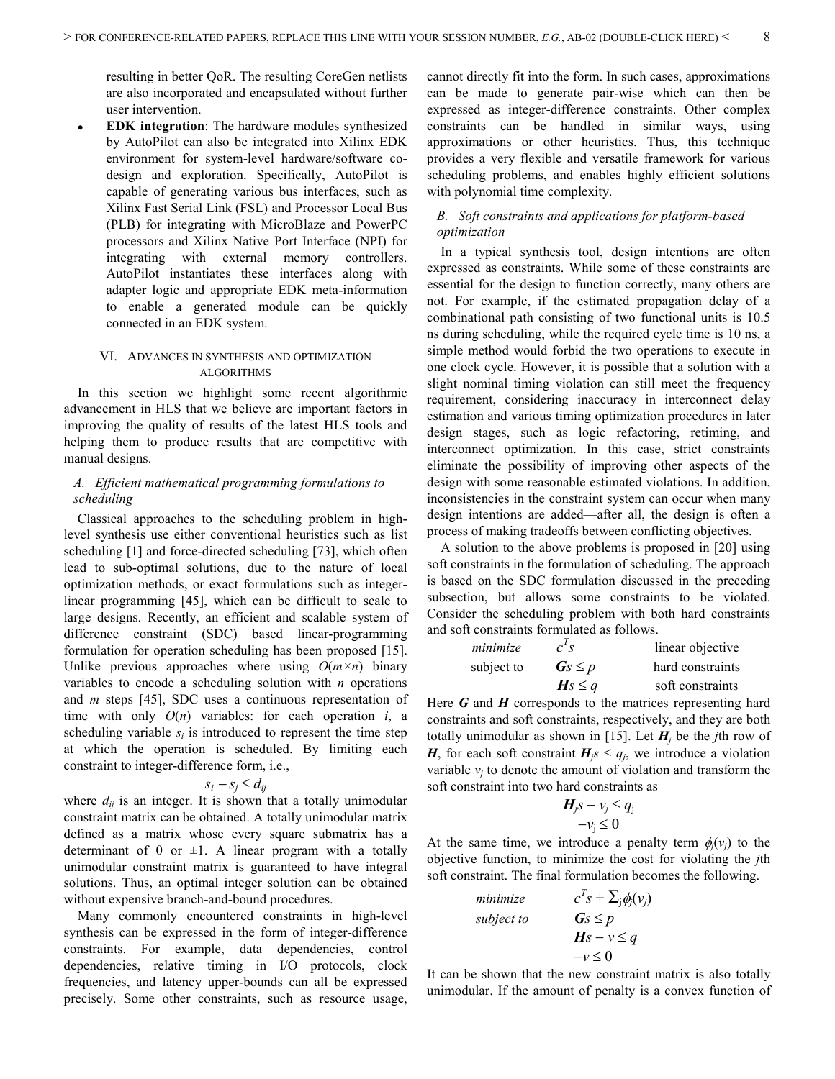resulting in better QoR. The resulting CoreGen netlists are also incorporated and encapsulated without further user intervention.

 **EDK integration**: The hardware modules synthesized by AutoPilot can also be integrated into Xilinx EDK environment for system-level hardware/software codesign and exploration. Specifically, AutoPilot is capable of generating various bus interfaces, such as Xilinx Fast Serial Link (FSL) and Processor Local Bus (PLB) for integrating with MicroBlaze and PowerPC processors and Xilinx Native Port Interface (NPI) for integrating with external memory controllers. AutoPilot instantiates these interfaces along with adapter logic and appropriate EDK meta-information to enable a generated module can be quickly connected in an EDK system.

## VI. ADVANCES IN SYNTHESIS AND OPTIMIZATION ALGORITHMS

In this section we highlight some recent algorithmic advancement in HLS that we believe are important factors in improving the quality of results of the latest HLS tools and helping them to produce results that are competitive with manual designs.

# *A. Efficient mathematical programming formulations to scheduling*

Classical approaches to the scheduling problem in highlevel synthesis use either conventional heuristics such as list scheduling [1] and force-directed scheduling [73], which often lead to sub-optimal solutions, due to the nature of local optimization methods, or exact formulations such as integerlinear programming [45], which can be difficult to scale to large designs. Recently, an efficient and scalable system of difference constraint (SDC) based linear-programming formulation for operation scheduling has been proposed [15]. Unlike previous approaches where using *O*(*m×n*) binary variables to encode a scheduling solution with *n* operations and *m* steps [45], SDC uses a continuous representation of time with only  $O(n)$  variables: for each operation *i*, a scheduling variable  $s_i$  is introduced to represent the time step at which the operation is scheduled. By limiting each constraint to integer-difference form, i.e.,

# *s*<sup>*i*</sup> − *s*<sup>*j*</sup> ≤ *d*<sup>*ij*</sup>

where  $d_{ij}$  is an integer. It is shown that a totally unimodular constraint matrix can be obtained. A totally unimodular matrix defined as a matrix whose every square submatrix has a determinant of 0 or  $\pm 1$ . A linear program with a totally unimodular constraint matrix is guaranteed to have integral solutions. Thus, an optimal integer solution can be obtained without expensive branch-and-bound procedures.

Many commonly encountered constraints in high-level synthesis can be expressed in the form of integer-difference constraints. For example, data dependencies, control dependencies, relative timing in I/O protocols, clock frequencies, and latency upper-bounds can all be expressed precisely. Some other constraints, such as resource usage, cannot directly fit into the form. In such cases, approximations can be made to generate pair-wise which can then be expressed as integer-difference constraints. Other complex constraints can be handled in similar ways, using approximations or other heuristics. Thus, this technique provides a very flexible and versatile framework for various scheduling problems, and enables highly efficient solutions with polynomial time complexity.

# *B. Soft constraints and applications for platform-based optimization*

In a typical synthesis tool, design intentions are often expressed as constraints. While some of these constraints are essential for the design to function correctly, many others are not. For example, if the estimated propagation delay of a combinational path consisting of two functional units is 10.5 ns during scheduling, while the required cycle time is 10 ns, a simple method would forbid the two operations to execute in one clock cycle. However, it is possible that a solution with a slight nominal timing violation can still meet the frequency requirement, considering inaccuracy in interconnect delay estimation and various timing optimization procedures in later design stages, such as logic refactoring, retiming, and interconnect optimization. In this case, strict constraints eliminate the possibility of improving other aspects of the design with some reasonable estimated violations. In addition, inconsistencies in the constraint system can occur when many design intentions are added—after all, the design is often a process of making tradeoffs between conflicting objectives.

A solution to the above problems is proposed in [20] using soft constraints in the formulation of scheduling. The approach is based on the SDC formulation discussed in the preceding subsection, but allows some constraints to be violated. Consider the scheduling problem with both hard constraints and soft constraints formulated as follows.

| minimize   | $c^T s$              | linear objective |
|------------|----------------------|------------------|
| subject to | $\mathbf{G}s \leq p$ | hard constraints |
|            | $Hs \leq q$          | soft constraints |

Here *G* and *H* corresponds to the matrices representing hard constraints and soft constraints, respectively, and they are both totally unimodular as shown in [15]. Let  $H_j$  be the *j*th row of *H*, for each soft constraint  $H_j s \le q_j$ , we introduce a violation variable  $v_j$  to denote the amount of violation and transform the soft constraint into two hard constraints as

$$
H_j s - v_j \le q_j
$$
  

$$
-v_j \le 0
$$

At the same time, we introduce a penalty term  $\phi_i(v_i)$  to the objective function, to minimize the cost for violating the *j*th soft constraint. The final formulation becomes the following.

minimize 
$$
c^T s + \sum_j \phi_j(v_j)
$$
  
subject to  $Gs \leq p$   
 $Hs - v \leq q$   
 $-v \leq 0$ 

It can be shown that the new constraint matrix is also totally unimodular. If the amount of penalty is a convex function of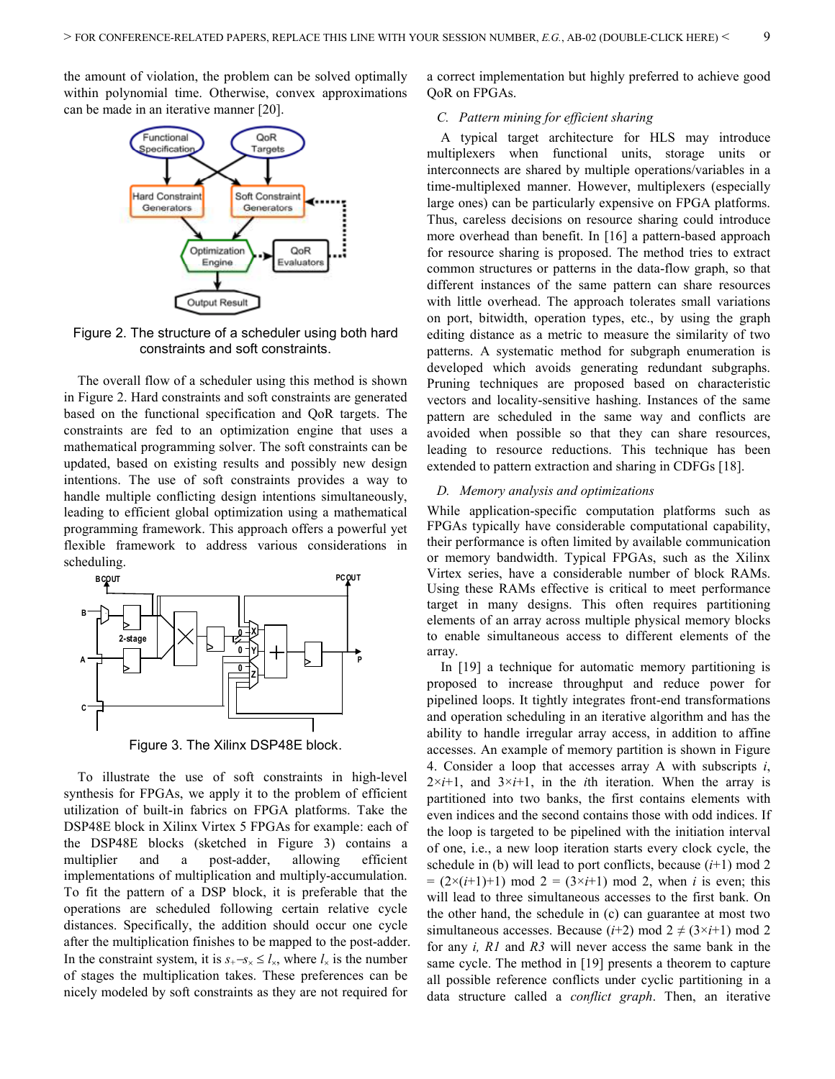the amount of violation, the problem can be solved optimally within polynomial time. Otherwise, convex approximations can be made in an iterative manner [20].



Figure 2. The structure of a scheduler using both hard constraints and soft constraints.

The overall flow of a scheduler using this method is shown in Figure 2. Hard constraints and soft constraints are generated based on the functional specification and QoR targets. The constraints are fed to an optimization engine that uses a mathematical programming solver. The soft constraints can be updated, based on existing results and possibly new design intentions. The use of soft constraints provides a way to handle multiple conflicting design intentions simultaneously, leading to efficient global optimization using a mathematical programming framework. This approach offers a powerful yet flexible framework to address various considerations in scheduling.



Figure 3. The Xilinx DSP48E block.

To illustrate the use of soft constraints in high-level synthesis for FPGAs, we apply it to the problem of efficient utilization of built-in fabrics on FPGA platforms. Take the DSP48E block in Xilinx Virtex 5 FPGAs for example: each of the DSP48E blocks (sketched in Figure 3) contains a multiplier and a post-adder, allowing efficient implementations of multiplication and multiply-accumulation. To fit the pattern of a DSP block, it is preferable that the operations are scheduled following certain relative cycle distances. Specifically, the addition should occur one cycle after the multiplication finishes to be mapped to the post-adder. In the constraint system, it is  $s_{+}$ −*s*<sub>×</sub> ≤  $l_{\times}$ , where  $l_{\times}$  is the number of stages the multiplication takes. These preferences can be nicely modeled by soft constraints as they are not required for

a correct implementation but highly preferred to achieve good QoR on FPGAs.

#### *C. Pattern mining for efficient sharing*

A typical target architecture for HLS may introduce multiplexers when functional units, storage units or interconnects are shared by multiple operations/variables in a time-multiplexed manner. However, multiplexers (especially large ones) can be particularly expensive on FPGA platforms. Thus, careless decisions on resource sharing could introduce more overhead than benefit. In [16] a pattern-based approach for resource sharing is proposed. The method tries to extract common structures or patterns in the data-flow graph, so that different instances of the same pattern can share resources with little overhead. The approach tolerates small variations on port, bitwidth, operation types, etc., by using the graph editing distance as a metric to measure the similarity of two patterns. A systematic method for subgraph enumeration is developed which avoids generating redundant subgraphs. Pruning techniques are proposed based on characteristic vectors and locality-sensitive hashing. Instances of the same pattern are scheduled in the same way and conflicts are avoided when possible so that they can share resources, leading to resource reductions. This technique has been extended to pattern extraction and sharing in CDFGs [18].

#### *D. Memory analysis and optimizations*

While application-specific computation platforms such as FPGAs typically have considerable computational capability, their performance is often limited by available communication or memory bandwidth. Typical FPGAs, such as the Xilinx Virtex series, have a considerable number of block RAMs. Using these RAMs effective is critical to meet performance target in many designs. This often requires partitioning elements of an array across multiple physical memory blocks to enable simultaneous access to different elements of the array.

In [19] a technique for automatic memory partitioning is proposed to increase throughput and reduce power for pipelined loops. It tightly integrates front-end transformations and operation scheduling in an iterative algorithm and has the ability to handle irregular array access, in addition to affine accesses. An example of memory partition is shown in Figure 4. Consider a loop that accesses array A with subscripts *i*,  $2\times i+1$ , and  $3\times i+1$ , in the *i*th iteration. When the array is partitioned into two banks, the first contains elements with even indices and the second contains those with odd indices. If the loop is targeted to be pipelined with the initiation interval of one, i.e., a new loop iteration starts every clock cycle, the schedule in (b) will lead to port conflicts, because  $(i+1)$  mod 2  $= (2 \times (i+1)+1) \mod 2 = (3 \times i+1) \mod 2$ , when *i* is even; this will lead to three simultaneous accesses to the first bank. On the other hand, the schedule in (c) can guarantee at most two simultaneous accesses. Because  $(i+2) \text{ mod } 2 \neq (3 \times i+1) \text{ mod } 2$ for any *i, R1* and *R3* will never access the same bank in the same cycle. The method in [19] presents a theorem to capture all possible reference conflicts under cyclic partitioning in a data structure called a *conflict graph*. Then, an iterative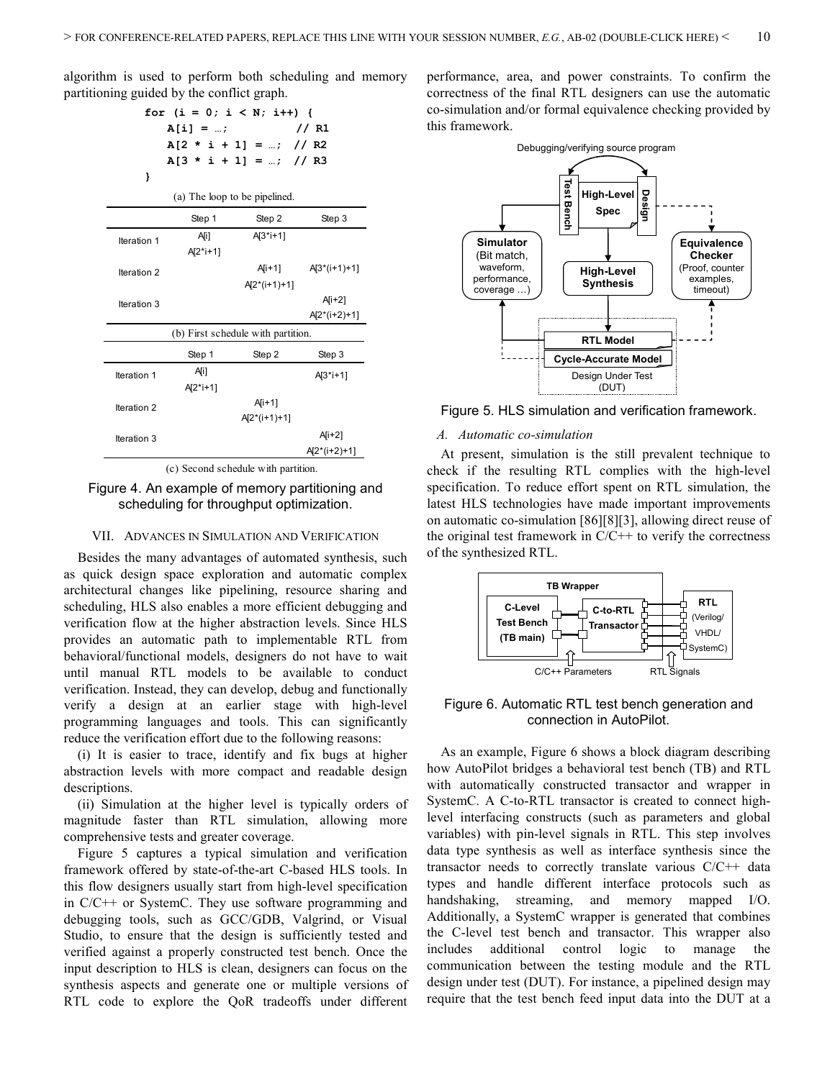algorithm is used to perform both scheduling and memory partitioning guided by the conflict graph.

```
for (i = 0; i < N; i++) { 
A[i] = ...; // R1
A[2 * i + 1] = ...; // R2A[3 * i + 1] = ...; // R3
```

| ł           |                               |                                                       |                 |  |
|-------------|-------------------------------|-------------------------------------------------------|-----------------|--|
|             | (a) The loop to be pipelined. |                                                       |                 |  |
|             | Step 1                        | Step 2                                                | Step 3          |  |
| Iteration 1 | A[i]<br>$A[2^*+1]$            | A[3*i+1]                                              |                 |  |
| Iteration 2 |                               | A[i+1]                                                | $A[3*(i+1)+1]$  |  |
|             |                               | $A[2*(i+1)+1]$                                        |                 |  |
| Iteration 3 |                               |                                                       | A[i+2]          |  |
|             |                               |                                                       | $A[2^*(i+2)+1]$ |  |
|             |                               | (b) First schedule with partition.                    |                 |  |
|             | Step 1                        | Step 2                                                | Step 3          |  |
| Iteration 1 | A[i]<br>A[2*i+1]              |                                                       | $A3*1+1$        |  |
| Iteration 2 |                               | A[i+1]                                                |                 |  |
|             |                               | $A2^*(i+1)+1$                                         |                 |  |
| Iteration 3 |                               |                                                       | A[i+2]          |  |
|             |                               |                                                       | $A2^*(i+2)+1$   |  |
|             |                               | field the country of the control of the constitutions |                 |  |

(c) Second schedule with partition.

Figure 4. An example of memory partitioning and scheduling for throughput optimization.

## VII. ADVANCES IN SIMULATION AND VERIFICATION

Besides the many advantages of automated synthesis, such as quick design space exploration and automatic complex architectural changes like pipelining, resource sharing and scheduling, HLS also enables a more efficient debugging and verification flow at the higher abstraction levels. Since HLS provides an automatic path to implementable RTL from behavioral/functional models, designers do not have to wait until manual RTL models to be available to conduct verification. Instead, they can develop, debug and functionally verify a design at an earlier stage with high-level programming languages and tools. This can significantly reduce the verification effort due to the following reasons:

(i) It is easier to trace, identify and fix bugs at higher abstraction levels with more compact and readable design descriptions.

(ii) Simulation at the higher level is typically orders of magnitude faster than RTL simulation, allowing more comprehensive tests and greater coverage.

Figure 5 captures a typical simulation and verification framework offered by state-of-the-art C-based HLS tools. In this flow designers usually start from high-level specification in C/C++ or SystemC. They use software programming and debugging tools, such as GCC/GDB, Valgrind, or Visual Studio, to ensure that the design is sufficiently tested and verified against a properly constructed test bench. Once the input description to HLS is clean, designers can focus on the synthesis aspects and generate one or multiple versions of RTL code to explore the QoR tradeoffs under different

performance, area, and power constraints. To confirm the correctness of the final RTL designers can use the automatic co-simulation and/or formal equivalence checking provided by this framework.



Figure 5. HLS simulation and verification framework.

## *A. Automatic co-simulation*

At present, simulation is the still prevalent technique to check if the resulting RTL complies with the high-level specification. To reduce effort spent on RTL simulation, the latest HLS technologies have made important improvements on automatic co-simulation [86][8][3], allowing direct reuse of the original test framework in  $C/C++$  to verify the correctness of the synthesized RTL.



Figure 6. Automatic RTL test bench generation and connection in AutoPilot.

As an example, Figure 6 shows a block diagram describing how AutoPilot bridges a behavioral test bench (TB) and RTL with automatically constructed transactor and wrapper in SystemC. A C-to-RTL transactor is created to connect highlevel interfacing constructs (such as parameters and global variables) with pin-level signals in RTL. This step involves data type synthesis as well as interface synthesis since the transactor needs to correctly translate various C/C++ data types and handle different interface protocols such as handshaking, streaming, and memory mapped I/O. Additionally, a SystemC wrapper is generated that combines the C-level test bench and transactor. This wrapper also includes additional control logic to manage the communication between the testing module and the RTL design under test (DUT). For instance, a pipelined design may require that the test bench feed input data into the DUT at a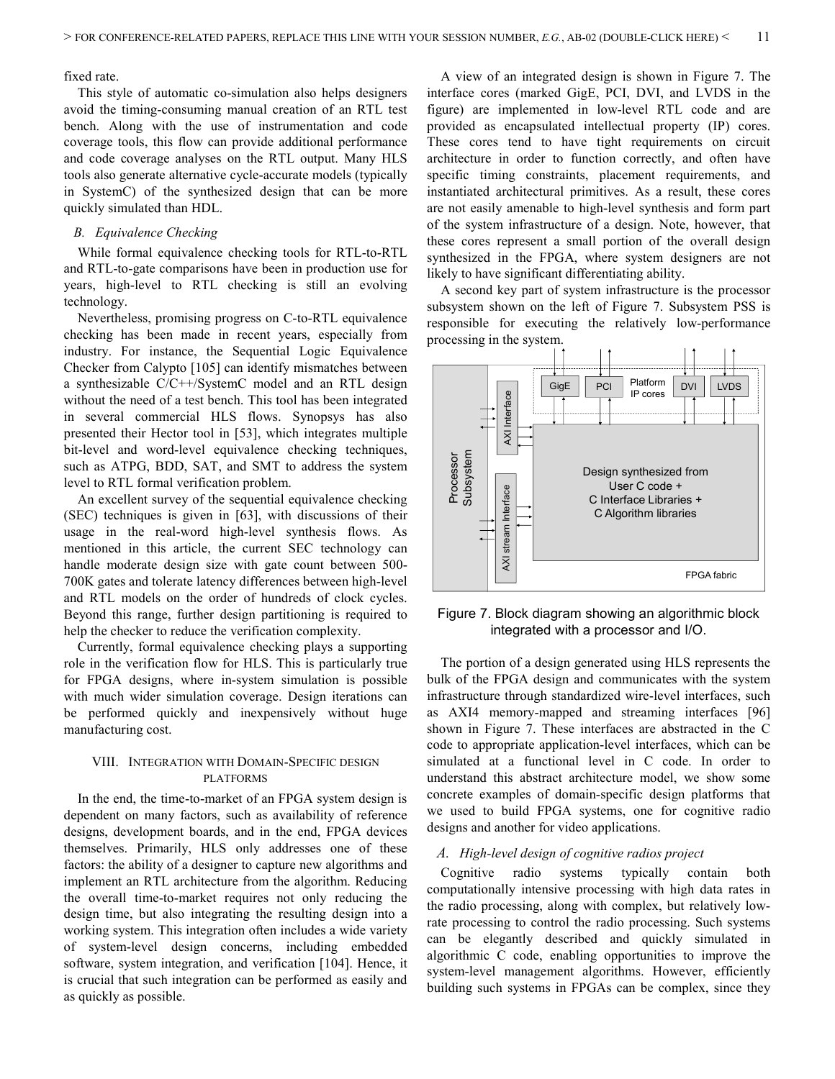fixed rate.

This style of automatic co-simulation also helps designers avoid the timing-consuming manual creation of an RTL test bench. Along with the use of instrumentation and code coverage tools, this flow can provide additional performance and code coverage analyses on the RTL output. Many HLS tools also generate alternative cycle-accurate models (typically in SystemC) of the synthesized design that can be more quickly simulated than HDL.

#### *B. Equivalence Checking*

While formal equivalence checking tools for RTL-to-RTL and RTL-to-gate comparisons have been in production use for years, high-level to RTL checking is still an evolving technology.

Nevertheless, promising progress on C-to-RTL equivalence checking has been made in recent years, especially from industry. For instance, the Sequential Logic Equivalence Checker from Calypto [105] can identify mismatches between a synthesizable C/C++/SystemC model and an RTL design without the need of a test bench. This tool has been integrated in several commercial HLS flows. Synopsys has also presented their Hector tool in [53], which integrates multiple bit-level and word-level equivalence checking techniques, such as ATPG, BDD, SAT, and SMT to address the system level to RTL formal verification problem.

An excellent survey of the sequential equivalence checking (SEC) techniques is given in [63], with discussions of their usage in the real-word high-level synthesis flows. As mentioned in this article, the current SEC technology can handle moderate design size with gate count between 500- 700K gates and tolerate latency differences between high-level and RTL models on the order of hundreds of clock cycles. Beyond this range, further design partitioning is required to help the checker to reduce the verification complexity.

Currently, formal equivalence checking plays a supporting role in the verification flow for HLS. This is particularly true for FPGA designs, where in-system simulation is possible with much wider simulation coverage. Design iterations can be performed quickly and inexpensively without huge manufacturing cost.

# VIII. INTEGRATION WITH DOMAIN-SPECIFIC DESIGN PLATFORMS

In the end, the time-to-market of an FPGA system design is dependent on many factors, such as availability of reference designs, development boards, and in the end, FPGA devices themselves. Primarily, HLS only addresses one of these factors: the ability of a designer to capture new algorithms and implement an RTL architecture from the algorithm. Reducing the overall time-to-market requires not only reducing the design time, but also integrating the resulting design into a working system. This integration often includes a wide variety of system-level design concerns, including embedded software, system integration, and verification [104]. Hence, it is crucial that such integration can be performed as easily and as quickly as possible.

A view of an integrated design is shown in Figure 7. The interface cores (marked GigE, PCI, DVI, and LVDS in the figure) are implemented in low-level RTL code and are provided as encapsulated intellectual property (IP) cores. These cores tend to have tight requirements on circuit architecture in order to function correctly, and often have specific timing constraints, placement requirements, and instantiated architectural primitives. As a result, these cores are not easily amenable to high-level synthesis and form part of the system infrastructure of a design. Note, however, that these cores represent a small portion of the overall design synthesized in the FPGA, where system designers are not likely to have significant differentiating ability.

A second key part of system infrastructure is the processor subsystem shown on the left of Figure 7. Subsystem PSS is responsible for executing the relatively low-performance processing in the system.



Figure 7. Block diagram showing an algorithmic block integrated with a processor and I/O.

The portion of a design generated using HLS represents the bulk of the FPGA design and communicates with the system infrastructure through standardized wire-level interfaces, such as AXI4 memory-mapped and streaming interfaces [96] shown in Figure 7. These interfaces are abstracted in the C code to appropriate application-level interfaces, which can be simulated at a functional level in C code. In order to understand this abstract architecture model, we show some concrete examples of domain-specific design platforms that we used to build FPGA systems, one for cognitive radio designs and another for video applications.

#### *A. High-level design of cognitive radios project*

Cognitive radio systems typically contain both computationally intensive processing with high data rates in the radio processing, along with complex, but relatively lowrate processing to control the radio processing. Such systems can be elegantly described and quickly simulated in algorithmic C code, enabling opportunities to improve the system-level management algorithms. However, efficiently building such systems in FPGAs can be complex, since they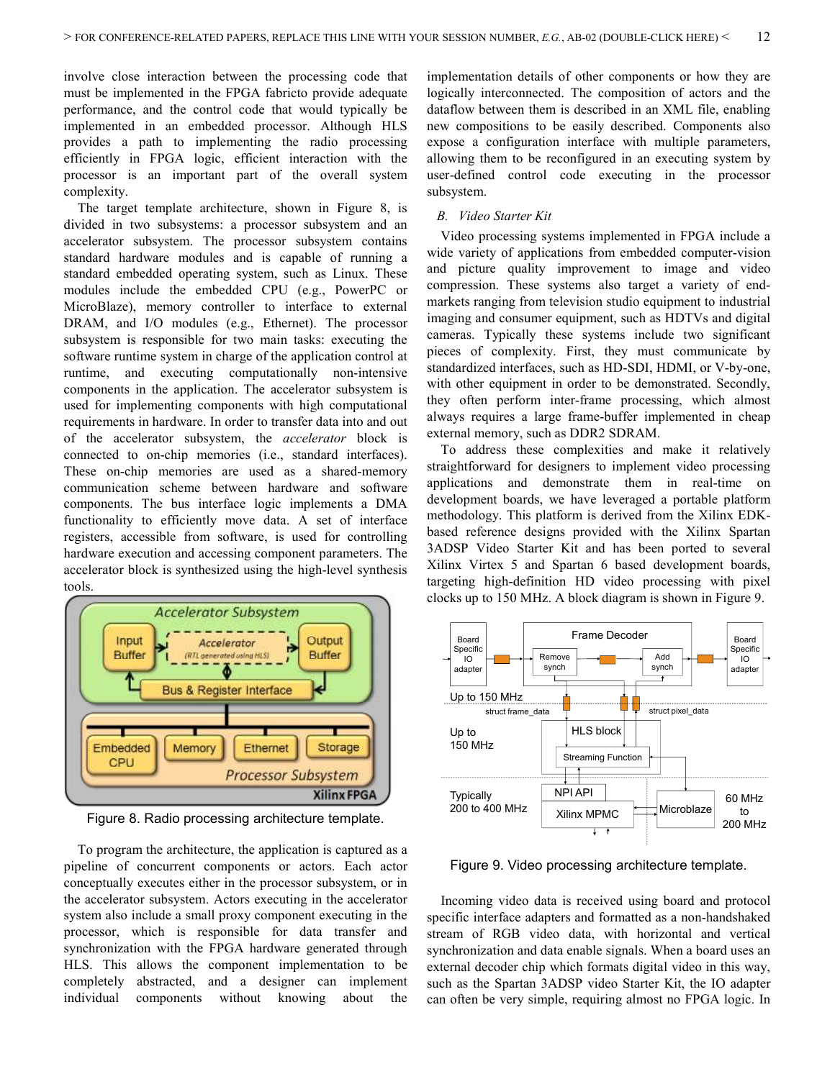involve close interaction between the processing code that must be implemented in the FPGA fabricto provide adequate performance, and the control code that would typically be implemented in an embedded processor. Although HLS provides a path to implementing the radio processing efficiently in FPGA logic, efficient interaction with the processor is an important part of the overall system complexity.

The target template architecture, shown in Figure 8, is divided in two subsystems: a processor subsystem and an accelerator subsystem. The processor subsystem contains standard hardware modules and is capable of running a standard embedded operating system, such as Linux. These modules include the embedded CPU (e.g., PowerPC or MicroBlaze), memory controller to interface to external DRAM, and I/O modules (e.g., Ethernet). The processor subsystem is responsible for two main tasks: executing the software runtime system in charge of the application control at runtime, and executing computationally non-intensive components in the application. The accelerator subsystem is used for implementing components with high computational requirements in hardware. In order to transfer data into and out of the accelerator subsystem, the *accelerator* block is connected to on-chip memories (i.e., standard interfaces). These on-chip memories are used as a shared-memory communication scheme between hardware and software components. The bus interface logic implements a DMA functionality to efficiently move data. A set of interface registers, accessible from software, is used for controlling hardware execution and accessing component parameters. The accelerator block is synthesized using the high-level synthesis tools.



Figure 8. Radio processing architecture template.

To program the architecture, the application is captured as a pipeline of concurrent components or actors. Each actor conceptually executes either in the processor subsystem, or in the accelerator subsystem. Actors executing in the accelerator system also include a small proxy component executing in the processor, which is responsible for data transfer and synchronization with the FPGA hardware generated through HLS. This allows the component implementation to be completely abstracted, and a designer can implement individual components without knowing about the implementation details of other components or how they are logically interconnected. The composition of actors and the dataflow between them is described in an XML file, enabling new compositions to be easily described. Components also expose a configuration interface with multiple parameters, allowing them to be reconfigured in an executing system by user-defined control code executing in the processor subsystem.

## *B. Video Starter Kit*

Video processing systems implemented in FPGA include a wide variety of applications from embedded computer-vision and picture quality improvement to image and video compression. These systems also target a variety of endmarkets ranging from television studio equipment to industrial imaging and consumer equipment, such as HDTVs and digital cameras. Typically these systems include two significant pieces of complexity. First, they must communicate by standardized interfaces, such as HD-SDI, HDMI, or V-by-one, with other equipment in order to be demonstrated. Secondly, they often perform inter-frame processing, which almost always requires a large frame-buffer implemented in cheap external memory, such as DDR2 SDRAM.

To address these complexities and make it relatively straightforward for designers to implement video processing applications and demonstrate them in real-time on development boards, we have leveraged a portable platform methodology. This platform is derived from the Xilinx EDKbased reference designs provided with the Xilinx Spartan 3ADSP Video Starter Kit and has been ported to several Xilinx Virtex 5 and Spartan 6 based development boards, targeting high-definition HD video processing with pixel clocks up to 150 MHz. A block diagram is shown in Figure 9.



Figure 9. Video processing architecture template.

Incoming video data is received using board and protocol specific interface adapters and formatted as a non-handshaked stream of RGB video data, with horizontal and vertical synchronization and data enable signals. When a board uses an external decoder chip which formats digital video in this way, such as the Spartan 3ADSP video Starter Kit, the IO adapter can often be very simple, requiring almost no FPGA logic. In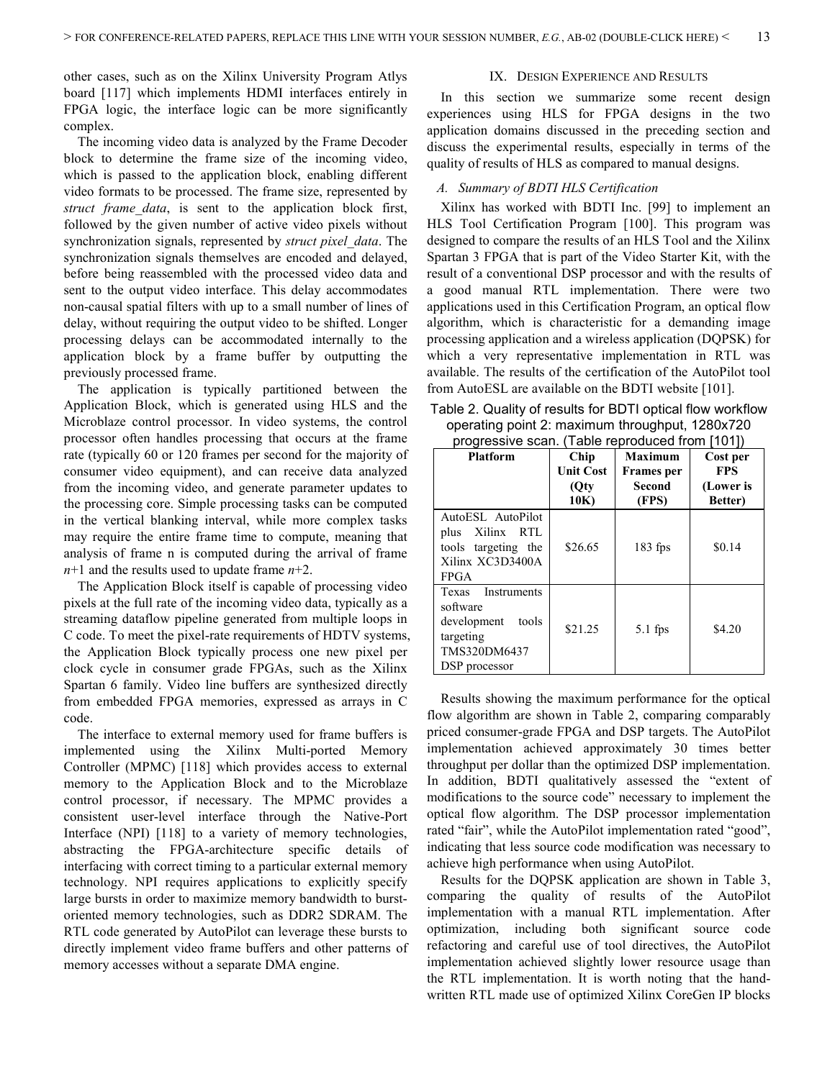other cases, such as on the Xilinx University Program Atlys board [117] which implements HDMI interfaces entirely in FPGA logic, the interface logic can be more significantly complex.

The incoming video data is analyzed by the Frame Decoder block to determine the frame size of the incoming video, which is passed to the application block, enabling different video formats to be processed. The frame size, represented by *struct frame data*, is sent to the application block first, followed by the given number of active video pixels without synchronization signals, represented by *struct pixel\_data*. The synchronization signals themselves are encoded and delayed, before being reassembled with the processed video data and sent to the output video interface. This delay accommodates non-causal spatial filters with up to a small number of lines of delay, without requiring the output video to be shifted. Longer processing delays can be accommodated internally to the application block by a frame buffer by outputting the previously processed frame.

The application is typically partitioned between the Application Block, which is generated using HLS and the Microblaze control processor. In video systems, the control processor often handles processing that occurs at the frame rate (typically 60 or 120 frames per second for the majority of consumer video equipment), and can receive data analyzed from the incoming video, and generate parameter updates to the processing core. Simple processing tasks can be computed in the vertical blanking interval, while more complex tasks may require the entire frame time to compute, meaning that analysis of frame n is computed during the arrival of frame *n*+1 and the results used to update frame *n*+2.

The Application Block itself is capable of processing video pixels at the full rate of the incoming video data, typically as a streaming dataflow pipeline generated from multiple loops in C code. To meet the pixel-rate requirements of HDTV systems, the Application Block typically process one new pixel per clock cycle in consumer grade FPGAs, such as the Xilinx Spartan 6 family. Video line buffers are synthesized directly from embedded FPGA memories, expressed as arrays in C code.

The interface to external memory used for frame buffers is implemented using the Xilinx Multi-ported Memory Controller (MPMC) [118] which provides access to external memory to the Application Block and to the Microblaze control processor, if necessary. The MPMC provides a consistent user-level interface through the Native-Port Interface (NPI) [118] to a variety of memory technologies, abstracting the FPGA-architecture specific details of interfacing with correct timing to a particular external memory technology. NPI requires applications to explicitly specify large bursts in order to maximize memory bandwidth to burstoriented memory technologies, such as DDR2 SDRAM. The RTL code generated by AutoPilot can leverage these bursts to directly implement video frame buffers and other patterns of memory accesses without a separate DMA engine.

#### IX. DESIGN EXPERIENCE AND RESULTS

In this section we summarize some recent design experiences using HLS for FPGA designs in the two application domains discussed in the preceding section and discuss the experimental results, especially in terms of the quality of results of HLS as compared to manual designs.

## *A. Summary of BDTI HLS Certification*

Xilinx has worked with BDTI Inc. [99] to implement an HLS Tool Certification Program [100]. This program was designed to compare the results of an HLS Tool and the Xilinx Spartan 3 FPGA that is part of the Video Starter Kit, with the result of a conventional DSP processor and with the results of a good manual RTL implementation. There were two applications used in this Certification Program, an optical flow algorithm, which is characteristic for a demanding image processing application and a wireless application (DQPSK) for which a very representative implementation in RTL was available. The results of the certification of the AutoPilot tool from AutoESL are available on the BDTI website [101].

Table 2. Quality of results for BDTI optical flow workflow operating point 2: maximum throughput, 1280x720

| <b>Platform</b>                                                                                        | Chip<br><b>Unit Cost</b><br>(Qty)<br>10K) | <b>Maximum</b><br><b>Frames</b> per<br>Second<br>(FPS) | Cost per<br><b>FPS</b><br>(Lower is<br>Better) |
|--------------------------------------------------------------------------------------------------------|-------------------------------------------|--------------------------------------------------------|------------------------------------------------|
| AutoESL AutoPilot<br>Xilinx RTL<br>plus<br>tools targeting the<br>Xilinx XC3D3400A<br><b>FPGA</b>      | \$26.65                                   | $183$ fps                                              | \$0.14                                         |
| Instruments<br>Texas<br>software<br>development<br>tools<br>targeting<br>TMS320DM6437<br>DSP processor | \$21.25                                   | $5.1$ fps                                              | \$4.20                                         |

progressive scan. (Table reproduced from [101])

Results showing the maximum performance for the optical flow algorithm are shown in Table 2, comparing comparably priced consumer-grade FPGA and DSP targets. The AutoPilot implementation achieved approximately 30 times better throughput per dollar than the optimized DSP implementation. In addition, BDTI qualitatively assessed the "extent of modifications to the source code" necessary to implement the optical flow algorithm. The DSP processor implementation rated "fair", while the AutoPilot implementation rated "good", indicating that less source code modification was necessary to achieve high performance when using AutoPilot.

Results for the DQPSK application are shown in Table 3, comparing the quality of results of the AutoPilot implementation with a manual RTL implementation. After optimization, including both significant source code refactoring and careful use of tool directives, the AutoPilot implementation achieved slightly lower resource usage than the RTL implementation. It is worth noting that the handwritten RTL made use of optimized Xilinx CoreGen IP blocks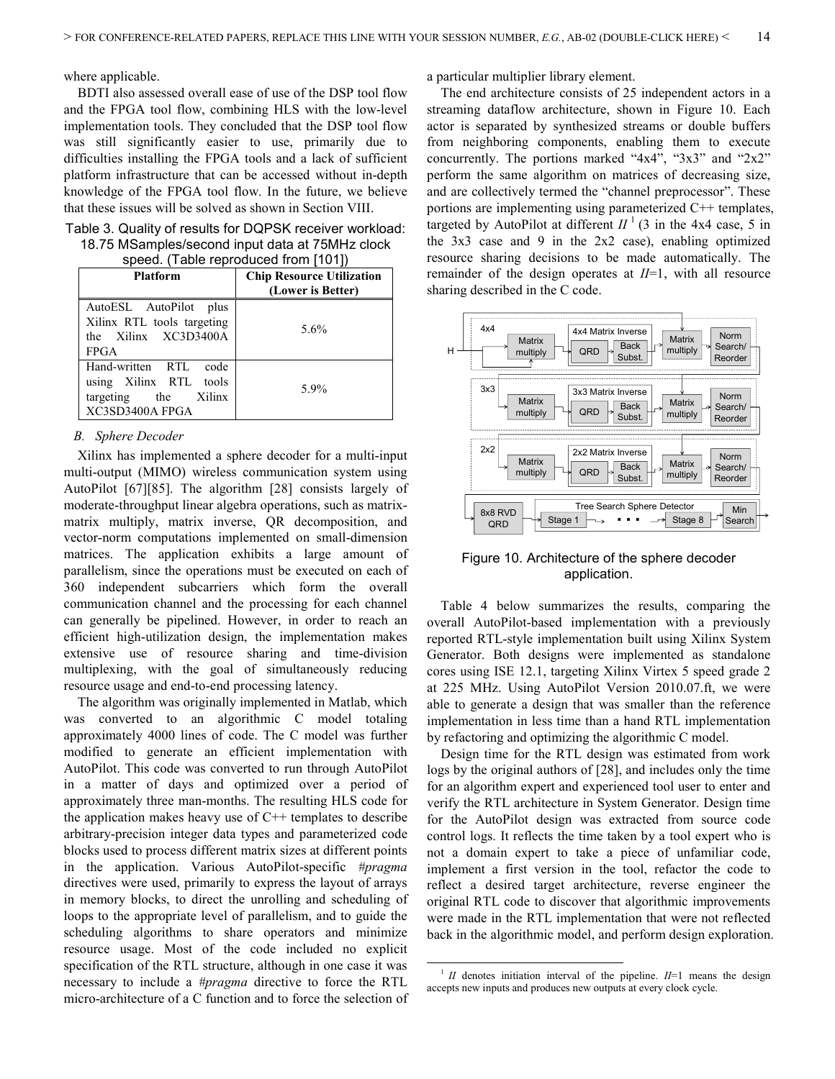where applicable.

BDTI also assessed overall ease of use of the DSP tool flow and the FPGA tool flow, combining HLS with the low-level implementation tools. They concluded that the DSP tool flow was still significantly easier to use, primarily due to difficulties installing the FPGA tools and a lack of sufficient platform infrastructure that can be accessed without in-depth knowledge of the FPGA tool flow. In the future, we believe that these issues will be solved as shown in Section VIII.

Table 3. Quality of results for DQPSK receiver workload: 18.75 MSamples/second input data at 75MHz clock speed. (Table reproduced from [101])

| <b>Platform</b>                                                                               | <b>Chip Resource Utilization</b><br>(Lower is Better) |
|-----------------------------------------------------------------------------------------------|-------------------------------------------------------|
| AutoESL AutoPilot plus<br>Xilinx RTL tools targeting<br>the Xilinx XC3D3400A<br><b>FPGA</b>   | 5.6%                                                  |
| Hand-written RTL<br>code<br>using Xilinx RTL tools<br>targeting the Xilinx<br>XC3SD3400A FPGA | $5.9\%$                                               |

#### *B. Sphere Decoder*

Xilinx has implemented a sphere decoder for a multi-input multi-output (MIMO) wireless communication system using AutoPilot [67][85]. The algorithm [28] consists largely of moderate-throughput linear algebra operations, such as matrixmatrix multiply, matrix inverse, QR decomposition, and vector-norm computations implemented on small-dimension matrices. The application exhibits a large amount of parallelism, since the operations must be executed on each of 360 independent subcarriers which form the overall communication channel and the processing for each channel can generally be pipelined. However, in order to reach an efficient high-utilization design, the implementation makes extensive use of resource sharing and time-division multiplexing, with the goal of simultaneously reducing resource usage and end-to-end processing latency.

The algorithm was originally implemented in Matlab, which was converted to an algorithmic C model totaling approximately 4000 lines of code. The C model was further modified to generate an efficient implementation with AutoPilot. This code was converted to run through AutoPilot in a matter of days and optimized over a period of approximately three man-months. The resulting HLS code for the application makes heavy use of  $C^{++}$  templates to describe arbitrary-precision integer data types and parameterized code blocks used to process different matrix sizes at different points in the application. Various AutoPilot-specific *#pragma* directives were used, primarily to express the layout of arrays in memory blocks, to direct the unrolling and scheduling of loops to the appropriate level of parallelism, and to guide the scheduling algorithms to share operators and minimize resource usage. Most of the code included no explicit specification of the RTL structure, although in one case it was necessary to include a *#pragma* directive to force the RTL micro-architecture of a C function and to force the selection of a particular multiplier library element.

The end architecture consists of 25 independent actors in a streaming dataflow architecture, shown in Figure 10. Each actor is separated by synthesized streams or double buffers from neighboring components, enabling them to execute concurrently. The portions marked "4x4", "3x3" and "2x2" perform the same algorithm on matrices of decreasing size, and are collectively termed the "channel preprocessor". These portions are implementing using parameterized C++ templates, targeted by AutoPilot at different  $II^1$  (3 in the 4x4 case, 5 in the 3x3 case and 9 in the 2x2 case), enabling optimized resource sharing decisions to be made automatically. The remainder of the design operates at *II*=1, with all resource sharing described in the C code.



Figure 10. Architecture of the sphere decoder application.

Table 4 below summarizes the results, comparing the overall AutoPilot-based implementation with a previously reported RTL-style implementation built using Xilinx System Generator. Both designs were implemented as standalone cores using ISE 12.1, targeting Xilinx Virtex 5 speed grade 2 at 225 MHz. Using AutoPilot Version 2010.07.ft, we were able to generate a design that was smaller than the reference implementation in less time than a hand RTL implementation by refactoring and optimizing the algorithmic C model.

Design time for the RTL design was estimated from work logs by the original authors of [28], and includes only the time for an algorithm expert and experienced tool user to enter and verify the RTL architecture in System Generator. Design time for the AutoPilot design was extracted from source code control logs. It reflects the time taken by a tool expert who is not a domain expert to take a piece of unfamiliar code, implement a first version in the tool, refactor the code to reflect a desired target architecture, reverse engineer the original RTL code to discover that algorithmic improvements were made in the RTL implementation that were not reflected back in the algorithmic model, and perform design exploration.

 $\overline{a}$ 

 $\frac{1}{1}$  *II* denotes initiation interval of the pipeline. *II*=1 means the design accepts new inputs and produces new outputs at every clock cycle.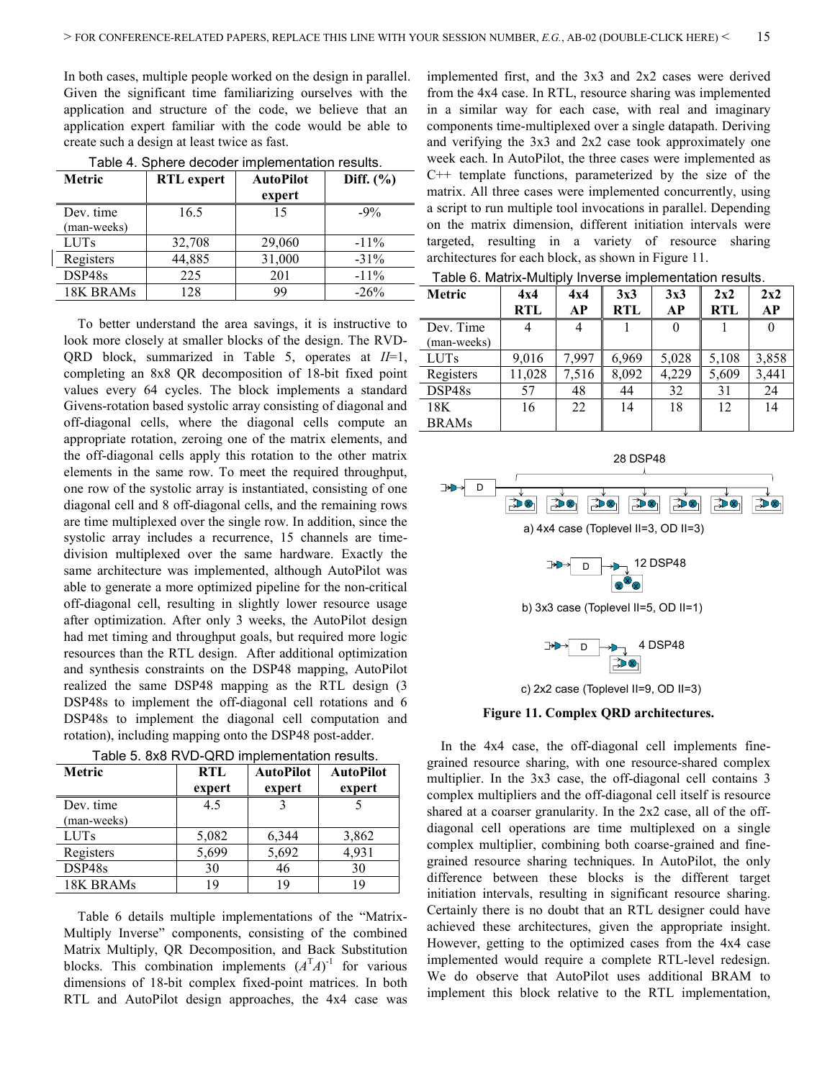In both cases, multiple people worked on the design in parallel. Given the significant time familiarizing ourselves with the application and structure of the code, we believe that an application expert familiar with the code would be able to create such a design at least twice as fast.

| Metric                   | <b>RTL</b> expert | <b>AutoPilot</b> | Diff. $(\% )$ |
|--------------------------|-------------------|------------------|---------------|
|                          |                   | expert           |               |
| Dev. time<br>(man-weeks) | 16.5              | 15               | $-9\%$        |
| <b>LUTs</b>              | 32,708            | 29,060           | $-11\%$       |
| Registers                | 44,885            | 31,000           | $-31\%$       |
| DSP48s                   | 225               | 201              | $-11\%$       |
| 18K BRAMs                | 128               | 99               | $-26%$        |

|  |  |  | Table 4. Sphere decoder implementation results. |
|--|--|--|-------------------------------------------------|
|--|--|--|-------------------------------------------------|

To better understand the area savings, it is instructive to look more closely at smaller blocks of the design. The RVD-QRD block, summarized in Table 5, operates at *II*=1, completing an 8x8 QR decomposition of 18-bit fixed point values every 64 cycles. The block implements a standard Givens-rotation based systolic array consisting of diagonal and off-diagonal cells, where the diagonal cells compute an appropriate rotation, zeroing one of the matrix elements, and the off-diagonal cells apply this rotation to the other matrix elements in the same row. To meet the required throughput, one row of the systolic array is instantiated, consisting of one diagonal cell and 8 off-diagonal cells, and the remaining rows are time multiplexed over the single row. In addition, since the systolic array includes a recurrence, 15 channels are timedivision multiplexed over the same hardware. Exactly the same architecture was implemented, although AutoPilot was able to generate a more optimized pipeline for the non-critical off-diagonal cell, resulting in slightly lower resource usage after optimization. After only 3 weeks, the AutoPilot design had met timing and throughput goals, but required more logic resources than the RTL design. After additional optimization and synthesis constraints on the DSP48 mapping, AutoPilot realized the same DSP48 mapping as the RTL design (3 DSP48s to implement the off-diagonal cell rotations and 6 DSP48s to implement the diagonal cell computation and rotation), including mapping onto the DSP48 post-adder.

| <b>Metric</b> | RTL    | <b>AutoPilot</b> | <b>AutoPilot</b> |  |
|---------------|--------|------------------|------------------|--|
|               | expert | expert           | expert           |  |
| Dev. time     | 4.5    |                  |                  |  |
| (man-weeks)   |        |                  |                  |  |
| <b>LUTs</b>   | 5,082  | 6,344            | 3,862            |  |
| Registers     | 5,699  | 5,692            | 4,931            |  |
| DSP48s        | 30     | 46               | 30               |  |
| 18K BRAMs     | 19     | 19               | 19               |  |

|  |  |  | Table 5. 8x8 RVD-QRD implementation results. |  |
|--|--|--|----------------------------------------------|--|
|--|--|--|----------------------------------------------|--|

Table 6 details multiple implementations of the "Matrix-Multiply Inverse" components, consisting of the combined Matrix Multiply, QR Decomposition, and Back Substitution blocks. This combination implements  $(A^T A)^{-1}$  for various dimensions of 18-bit complex fixed-point matrices. In both RTL and AutoPilot design approaches, the 4x4 case was

implemented first, and the 3x3 and 2x2 cases were derived from the 4x4 case. In RTL, resource sharing was implemented in a similar way for each case, with real and imaginary components time-multiplexed over a single datapath. Deriving and verifying the 3x3 and 2x2 case took approximately one week each. In AutoPilot, the three cases were implemented as C++ template functions, parameterized by the size of the matrix. All three cases were implemented concurrently, using a script to run multiple tool invocations in parallel. Depending on the matrix dimension, different initiation intervals were targeted, resulting in a variety of resource sharing architectures for each block, as shown in Figure 11.

Table 6. Matrix-Multiply Inverse implementation results.

| Metric                   | 4x4<br>RTL | 4x4<br>АP | 3x3<br><b>RTL</b> | 3x3<br>AP | 2x2<br><b>RTL</b> | 2x2<br>АP |
|--------------------------|------------|-----------|-------------------|-----------|-------------------|-----------|
| Dev. Time<br>(man-weeks) |            |           |                   |           |                   |           |
| <b>LUTs</b>              | 9,016      | 7,997     | 6,969             | 5,028     | 5,108             | 3,858     |
| Registers                | 11,028     | 7,516     | 8,092             | 4,229     | 5,609             | 3,441     |
| DSP48s                   | 57         | 48        | 44                | 32        | 31                | 24        |
| 18K                      | 16         | 22        | 14                | 18        | 12                | 14        |
| <b>BRAMs</b>             |            |           |                   |           |                   |           |



#### **Figure 11. Complex QRD architectures.**

In the 4x4 case, the off-diagonal cell implements finegrained resource sharing, with one resource-shared complex multiplier. In the 3x3 case, the off-diagonal cell contains 3 complex multipliers and the off-diagonal cell itself is resource shared at a coarser granularity. In the 2x2 case, all of the offdiagonal cell operations are time multiplexed on a single complex multiplier, combining both coarse-grained and finegrained resource sharing techniques. In AutoPilot, the only difference between these blocks is the different target initiation intervals, resulting in significant resource sharing. Certainly there is no doubt that an RTL designer could have achieved these architectures, given the appropriate insight. However, getting to the optimized cases from the 4x4 case implemented would require a complete RTL-level redesign. We do observe that AutoPilot uses additional BRAM to implement this block relative to the RTL implementation,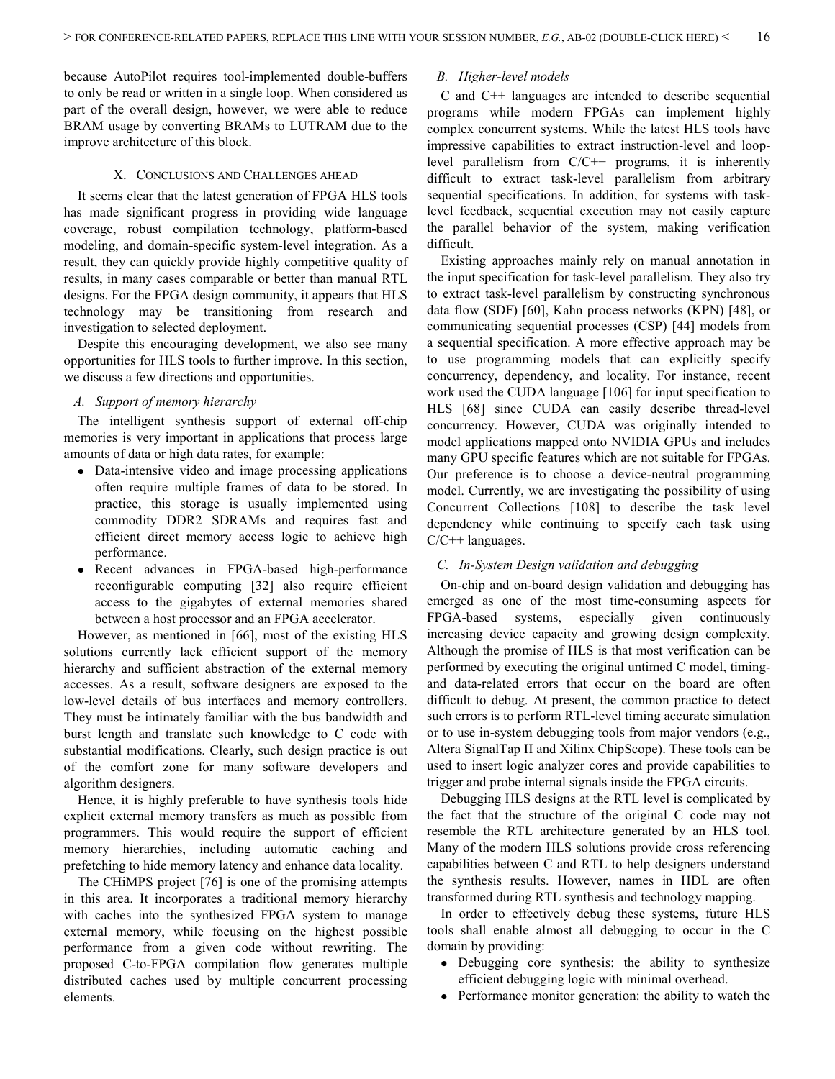because AutoPilot requires tool-implemented double-buffers to only be read or written in a single loop. When considered as part of the overall design, however, we were able to reduce BRAM usage by converting BRAMs to LUTRAM due to the improve architecture of this block.

#### X. CONCLUSIONS AND CHALLENGES AHEAD

It seems clear that the latest generation of FPGA HLS tools has made significant progress in providing wide language coverage, robust compilation technology, platform-based modeling, and domain-specific system-level integration. As a result, they can quickly provide highly competitive quality of results, in many cases comparable or better than manual RTL designs. For the FPGA design community, it appears that HLS technology may be transitioning from research and investigation to selected deployment.

Despite this encouraging development, we also see many opportunities for HLS tools to further improve. In this section, we discuss a few directions and opportunities.

#### *A. Support of memory hierarchy*

The intelligent synthesis support of external off-chip memories is very important in applications that process large amounts of data or high data rates, for example:

- Data-intensive video and image processing applications often require multiple frames of data to be stored. In practice, this storage is usually implemented using commodity DDR2 SDRAMs and requires fast and efficient direct memory access logic to achieve high performance.
- Recent advances in FPGA-based high-performance reconfigurable computing [32] also require efficient access to the gigabytes of external memories shared between a host processor and an FPGA accelerator.

However, as mentioned in [66], most of the existing HLS solutions currently lack efficient support of the memory hierarchy and sufficient abstraction of the external memory accesses. As a result, software designers are exposed to the low-level details of bus interfaces and memory controllers. They must be intimately familiar with the bus bandwidth and burst length and translate such knowledge to C code with substantial modifications. Clearly, such design practice is out of the comfort zone for many software developers and algorithm designers.

Hence, it is highly preferable to have synthesis tools hide explicit external memory transfers as much as possible from programmers. This would require the support of efficient memory hierarchies, including automatic caching and prefetching to hide memory latency and enhance data locality.

The CHiMPS project [76] is one of the promising attempts in this area. It incorporates a traditional memory hierarchy with caches into the synthesized FPGA system to manage external memory, while focusing on the highest possible performance from a given code without rewriting. The proposed C-to-FPGA compilation flow generates multiple distributed caches used by multiple concurrent processing elements.

# *B. Higher-level models*

C and C++ languages are intended to describe sequential programs while modern FPGAs can implement highly complex concurrent systems. While the latest HLS tools have impressive capabilities to extract instruction-level and looplevel parallelism from C/C++ programs, it is inherently difficult to extract task-level parallelism from arbitrary sequential specifications. In addition, for systems with tasklevel feedback, sequential execution may not easily capture the parallel behavior of the system, making verification difficult.

Existing approaches mainly rely on manual annotation in the input specification for task-level parallelism. They also try to extract task-level parallelism by constructing synchronous data flow (SDF) [60], Kahn process networks (KPN) [48], or communicating sequential processes (CSP) [44] models from a sequential specification. A more effective approach may be to use programming models that can explicitly specify concurrency, dependency, and locality. For instance, recent work used the CUDA language [106] for input specification to HLS [68] since CUDA can easily describe thread-level concurrency. However, CUDA was originally intended to model applications mapped onto NVIDIA GPUs and includes many GPU specific features which are not suitable for FPGAs. Our preference is to choose a device-neutral programming model. Currently, we are investigating the possibility of using Concurrent Collections [108] to describe the task level dependency while continuing to specify each task using C/C++ languages.

#### *C. In-System Design validation and debugging*

On-chip and on-board design validation and debugging has emerged as one of the most time-consuming aspects for FPGA-based systems, especially given continuously increasing device capacity and growing design complexity. Although the promise of HLS is that most verification can be performed by executing the original untimed C model, timingand data-related errors that occur on the board are often difficult to debug. At present, the common practice to detect such errors is to perform RTL-level timing accurate simulation or to use in-system debugging tools from major vendors (e.g., Altera SignalTap II and Xilinx ChipScope). These tools can be used to insert logic analyzer cores and provide capabilities to trigger and probe internal signals inside the FPGA circuits.

Debugging HLS designs at the RTL level is complicated by the fact that the structure of the original C code may not resemble the RTL architecture generated by an HLS tool. Many of the modern HLS solutions provide cross referencing capabilities between C and RTL to help designers understand the synthesis results. However, names in HDL are often transformed during RTL synthesis and technology mapping.

In order to effectively debug these systems, future HLS tools shall enable almost all debugging to occur in the C domain by providing:

- Debugging core synthesis: the ability to synthesize efficient debugging logic with minimal overhead.
- Performance monitor generation: the ability to watch the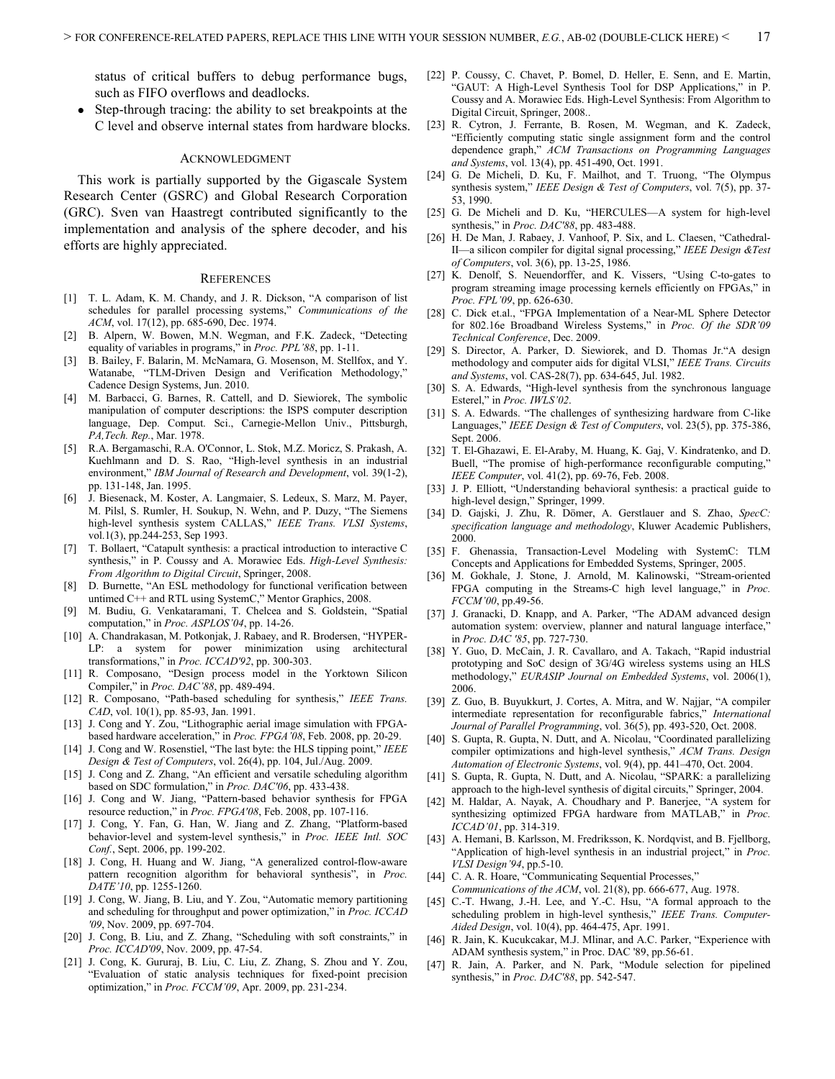status of critical buffers to debug performance bugs, such as FIFO overflows and deadlocks.

 Step-through tracing: the ability to set breakpoints at the C level and observe internal states from hardware blocks.

#### ACKNOWLEDGMENT

This work is partially supported by the Gigascale System Research Center (GSRC) and Global Research Corporation (GRC). Sven van Haastregt contributed significantly to the implementation and analysis of the sphere decoder, and his efforts are highly appreciated.

#### **REFERENCES**

- [1] T. L. Adam, K. M. Chandy, and J. R. Dickson, "A comparison of list schedules for parallel processing systems," *Communications of the ACM*, vol. 17(12), pp. 685-690, Dec. 1974.
- [2] B. Alpern, W. Bowen, M.N. Wegman, and F.K. Zadeck, "Detecting equality of variables in programs," in *Proc. PPL'88*, pp. 1-11.
- [3] B. Bailey, F. Balarin, M. McNamara, G. Mosenson, M. Stellfox, and Y. Watanabe, "TLM-Driven Design and Verification Methodology," Cadence Design Systems, Jun. 2010.
- [4] M. Barbacci, G. Barnes, R. Cattell, and D. Siewiorek, The symbolic manipulation of computer descriptions: the ISPS computer description language, Dep. Comput. Sci., Carnegie-Mellon Univ., Pittsburgh, *PA,Tech. Rep.*, Mar. 1978.
- [5] R.A. Bergamaschi, R.A. O'Connor, L. Stok, M.Z. Moricz, S. Prakash, A. Kuehlmann and D. S. Rao, "High-level synthesis in an industrial environment," *IBM Journal of Research and Development*, vol. 39(1-2), pp. 131-148, Jan. 1995.
- J. Biesenack, M. Koster, A. Langmaier, S. Ledeux, S. Marz, M. Payer, M. Pilsl, S. Rumler, H. Soukup, N. Wehn, and P. Duzy, "The Siemens high-level synthesis system CALLAS," *IEEE Trans. VLSI Systems*, vol.1(3), pp.244-253, Sep 1993.
- [7] T. Bollaert, "Catapult synthesis: a practical introduction to interactive C synthesis," in P. Coussy and A. Morawiec Eds. *High-Level Synthesis: From Algorithm to Digital Circuit*, Springer, 2008.
- [8] D. Burnette, "An ESL methodology for functional verification between untimed C++ and RTL using SystemC," Mentor Graphics, 2008.
- M. Budiu, G. Venkataramani, T. Chelcea and S. Goldstein, "Spatial computation," in *Proc. ASPLOS'04*, pp. 14-26.
- [10] A. Chandrakasan, M. Potkonjak, J. Rabaey, and R. Brodersen, "HYPER-LP: a system for power minimization using architectural transformations," in *Proc. ICCAD'92*, pp. 300-303.
- [11] R. Composano, "Design process model in the Yorktown Silicon Compiler," in *Proc. DAC'88*, pp. 489-494.
- [12] R. Composano, "Path-based scheduling for synthesis," *IEEE Trans. CAD*, vol. 10(1), pp. 85-93, Jan. 1991.
- [13] J. Cong and Y. Zou, "Lithographic aerial image simulation with FPGAbased hardware acceleration," in *Proc. FPGA'08*, Feb. 2008, pp. 20-29.
- [14] J. Cong and W. Rosenstiel, "The last byte: the HLS tipping point," *IEEE Design & Test of Computers*, vol. 26(4), pp. 104, Jul./Aug. 2009.
- [15] J. Cong and Z. Zhang, "An efficient and versatile scheduling algorithm based on SDC formulation," in *Proc. DAC'06*, pp. 433-438.
- [16] J. Cong and W. Jiang, "Pattern-based behavior synthesis for FPGA resource reduction," in *Proc. FPGA'08*, Feb. 2008, pp. 107-116.
- [17] J. Cong, Y. Fan, G. Han, W. Jiang and Z. Zhang, "Platform-based behavior-level and system-level synthesis," in *Proc. IEEE Intl. SOC Conf.*, Sept. 2006, pp. 199-202.
- [18] J. Cong, H. Huang and W. Jiang, "A generalized control-flow-aware pattern recognition algorithm for behavioral synthesis", in *Proc. DATE'10*, pp. 1255-1260.
- [19] J. Cong, W. Jiang, B. Liu, and Y. Zou, "Automatic memory partitioning and scheduling for throughput and power optimization," in *Proc. ICCAD '09*, Nov. 2009, pp. 697-704.
- [20] J. Cong, B. Liu, and Z. Zhang, "Scheduling with soft constraints," in *Proc. ICCAD'09*, Nov. 2009, pp. 47-54.
- [21] J. Cong, K. Gururaj, B. Liu, C. Liu, Z. Zhang, S. Zhou and Y. Zou, "Evaluation of static analysis techniques for fixed-point precision optimization," in *Proc. FCCM'09*, Apr. 2009, pp. 231-234.
- [22] P. Coussy, C. Chavet, P. Bomel, D. Heller, E. Senn, and E. Martin, "GAUT: A High-Level Synthesis Tool for DSP Applications," in P. Coussy and A. Morawiec Eds. High-Level Synthesis: From Algorithm to Digital Circuit, Springer, 2008..
- [23] R. Cytron, J. Ferrante, B. Rosen, M. Wegman, and K. Zadeck, "Efficiently computing static single assignment form and the control dependence graph," *ACM Transactions on Programming Languages and Systems*, vol. 13(4), pp. 451-490, Oct. 1991.
- [24] G. De Micheli, D. Ku, F. Mailhot, and T. Truong, "The Olympus synthesis system," *IEEE Design & Test of Computers*, vol. 7(5), pp. 37- 53, 1990.
- [25] G. De Micheli and D. Ku, "HERCULES-A system for high-level synthesis," in *Proc. DAC'88*, pp. 483-488.
- [26] H. De Man, J. Rabaey, J. Vanhoof, P. Six, and L. Claesen, "Cathedral-II—a silicon compiler for digital signal processing," *IEEE Design &Test of Computers*, vol. 3(6), pp. 13-25, 1986.
- [27] K. Denolf, S. Neuendorffer, and K. Vissers, "Using C-to-gates to program streaming image processing kernels efficiently on FPGAs," in *Proc. FPL'09*, pp. 626-630.
- [28] C. Dick et.al., "FPGA Implementation of a Near-ML Sphere Detector for 802.16e Broadband Wireless Systems," in *Proc. Of the SDR'09 Technical Conference*, Dec. 2009.
- [29] S. Director, A. Parker, D. Siewiorek, and D. Thomas Jr."A design methodology and computer aids for digital VLSI," *IEEE Trans. Circuits and Systems*, vol. CAS-28(7), pp. 634-645, Jul. 1982.
- [30] S. A. Edwards, "High-level synthesis from the synchronous language Esterel," in *Proc. IWLS'02*.
- [31] S. A. Edwards. "The challenges of synthesizing hardware from C-like Languages," *IEEE Design & Test of Computers*, vol. 23(5), pp. 375-386, Sept. 2006.
- [32] T. El-Ghazawi, E. El-Araby, M. Huang, K. Gaj, V. Kindratenko, and D. Buell, "The promise of high-performance reconfigurable computing," *IEEE Computer*, vol. 41(2), pp. 69-76, Feb. 2008.
- [33] J. P. Elliott, "Understanding behavioral synthesis: a practical guide to high-level design," Springer, 1999.
- [34] D. Gajski, J. Zhu, R. Dömer, A. Gerstlauer and S. Zhao, *SpecC: specification language and methodology*, Kluwer Academic Publishers, 2000.
- [35] F. Ghenassia, Transaction-Level Modeling with SystemC: TLM Concepts and Applications for Embedded Systems, Springer, 2005.
- [36] M. Gokhale, J. Stone, J. Arnold, M. Kalinowski, "Stream-oriented FPGA computing in the Streams-C high level language," in *Proc. FCCM'00*, pp.49-56.
- [37] J. Granacki, D. Knapp, and A. Parker, "The ADAM advanced design automation system: overview, planner and natural language interface," in *Proc. DAC '85*, pp. 727-730.
- [38] Y. Guo, D. McCain, J. R. Cavallaro, and A. Takach, "Rapid industrial prototyping and SoC design of 3G/4G wireless systems using an HLS methodology," *EURASIP Journal on Embedded Systems*, vol. 2006(1), 2006.
- [39] Z. Guo, B. Buyukkurt, J. Cortes, A. Mitra, and W. Najjar, "A compiler intermediate representation for reconfigurable fabrics," *International Journal of Parallel Programming*, vol. 36(5), pp. 493-520, Oct. 2008.
- [40] S. Gupta, R. Gupta, N. Dutt, and A. Nicolau, "Coordinated parallelizing compiler optimizations and high-level synthesis," *ACM Trans. Design Automation of Electronic Systems*, vol. 9(4), pp. 441–470, Oct. 2004.
- [41] S. Gupta, R. Gupta, N. Dutt, and A. Nicolau, "SPARK: a parallelizing approach to the high-level synthesis of digital circuits," Springer, 2004.
- [42] M. Haldar, A. Nayak, A. Choudhary and P. Banerjee, "A system for synthesizing optimized FPGA hardware from MATLAB," in *Proc. ICCAD'01*, pp. 314-319.
- [43] A. Hemani, B. Karlsson, M. Fredriksson, K. Nordqvist, and B. Fjellborg, "Application of high-level synthesis in an industrial project," in *Proc. VLSI Design'94*, pp.5-10.

[44] C. A. R. Hoare, "Communicating Sequential Processes,"

- *Communications of the ACM*, vol. 21(8), pp. 666-677, Aug. 1978.
- [45] C.-T. Hwang, J.-H. Lee, and Y.-C. Hsu, "A formal approach to the scheduling problem in high-level synthesis," *IEEE Trans. Computer-Aided Design*, vol. 10(4), pp. 464-475, Apr. 1991.
- [46] R. Jain, K. Kucukcakar, M.J. Mlinar, and A.C. Parker, "Experience with ADAM synthesis system," in Proc. DAC '89, pp.56-61.
- [47] R. Jain, A. Parker, and N. Park, "Module selection for pipelined synthesis," in *Proc. DAC'88*, pp. 542-547.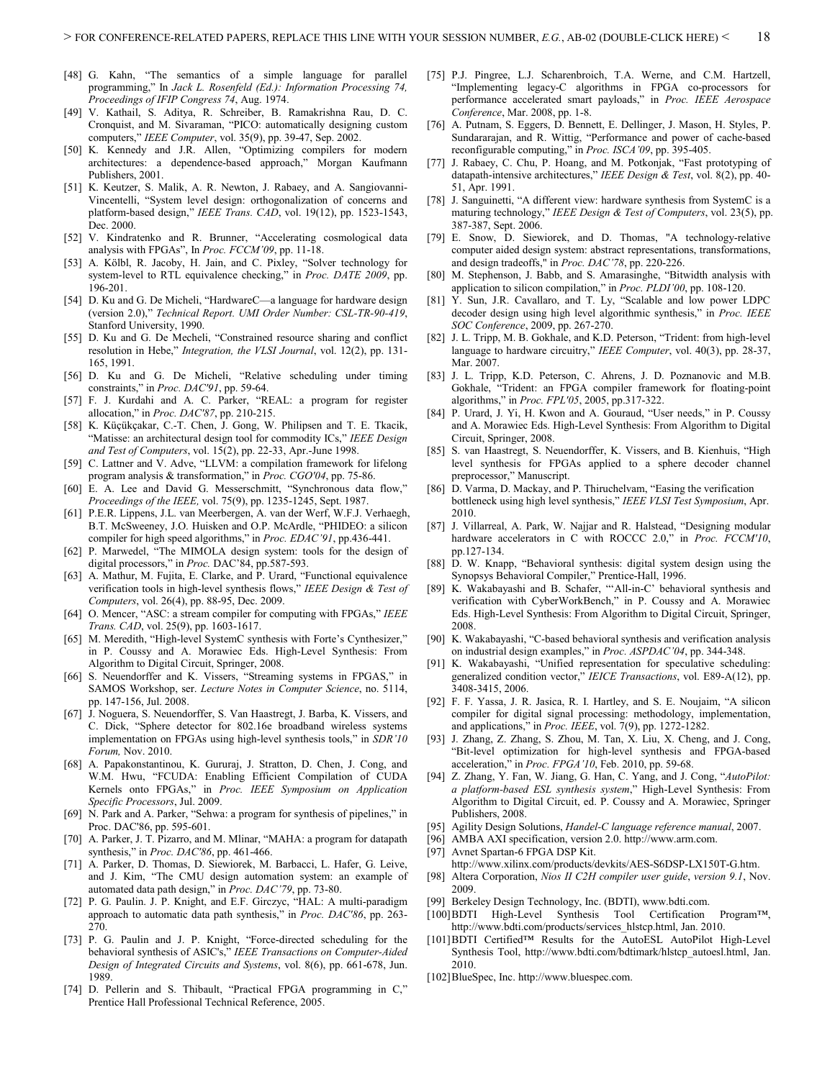- [48] G. Kahn, "The semantics of a simple language for parallel programming," In *Jack L. Rosenfeld (Ed.): Information Processing 74, Proceedings of IFIP Congress 74*, Aug. 1974.
- [49] V. Kathail, S. Aditya, R. Schreiber, B. Ramakrishna Rau, D. C. Cronquist, and M. Sivaraman, "PICO: automatically designing custom computers," *IEEE Computer*, vol. 35(9), pp. 39-47, Sep. 2002.
- [50] K. Kennedy and J.R. Allen, "Optimizing compilers for modern architectures: a dependence-based approach," Morgan Kaufmann Publishers, 2001.
- [51] K. Keutzer, S. Malik, A. R. Newton, J. Rabaey, and A. Sangiovanni-Vincentelli, "System level design: orthogonalization of concerns and platform-based design," *IEEE Trans. CAD*, vol. 19(12), pp. 1523-1543, Dec. 2000.
- [52] V. Kindratenko and R. Brunner, "Accelerating cosmological data analysis with FPGAs", In *Proc. FCCM'09*, pp. 11-18.
- [53] A. Kölbl, R. Jacoby, H. Jain, and C. Pixley, "Solver technology for system-level to RTL equivalence checking," in *Proc. DATE 2009*, pp. 196-201.
- [54] D. Ku and G. De Micheli, "HardwareC—a language for hardware design (version 2.0)," *Technical Report. UMI Order Jumber: CSL-TR-90-419*, Stanford University, 1990.
- [55] D. Ku and G. De Mecheli, "Constrained resource sharing and conflict resolution in Hebe," *Integration, the VLSI Journal*, vol. 12(2), pp. 131- 165, 1991.
- [56] D. Ku and G. De Micheli, "Relative scheduling under timing constraints," in *Proc. DAC'91*, pp. 59-64.
- [57] F. J. Kurdahi and A. C. Parker, "REAL: a program for register allocation," in *Proc. DAC'87*, pp. 210-215.
- [58] K. Küçükçakar, C.-T. Chen, J. Gong, W. Philipsen and T. E. Tkacik, "Matisse: an architectural design tool for commodity ICs," *IEEE Design and Test of Computers*, vol. 15(2), pp. 22-33, Apr.-June 1998.
- [59] C. Lattner and V. Adve, "LLVM: a compilation framework for lifelong program analysis & transformation," in *Proc. CGO'04*, pp. 75-86.
- [60] E. A. Lee and David G. Messerschmitt, "Synchronous data flow," *Proceedings of the IEEE,* vol. 75(9), pp. 1235-1245, Sept. 1987.
- [61] P.E.R. Lippens, J.L. van Meerbergen, A. van der Werf, W.F.J. Verhaegh, B.T. McSweeney, J.O. Huisken and O.P. McArdle, "PHIDEO: a silicon compiler for high speed algorithms," in *Proc. EDAC'91*, pp.436-441.
- [62] P. Marwedel, "The MIMOLA design system: tools for the design of digital processors," in *Proc.* DAC'84, pp.587-593.
- [63] A. Mathur, M. Fujita, E. Clarke, and P. Urard, "Functional equivalence verification tools in high-level synthesis flows," *IEEE Design & Test of Computers*, vol. 26(4), pp. 88-95, Dec. 2009.
- [64] O. Mencer, "ASC: a stream compiler for computing with FPGAs," *IEEE Trans. CAD*, vol. 25(9), pp. 1603-1617.
- [65] M. Meredith, "High-level SystemC synthesis with Forte's Cynthesizer," in P. Coussy and A. Morawiec Eds. High-Level Synthesis: From Algorithm to Digital Circuit, Springer, 2008.
- [66] S. Neuendorffer and K. Vissers, "Streaming systems in FPGAS," in SAMOS Workshop, ser. *Lecture Jotes in Computer Science*, no. 5114, pp. 147-156, Jul. 2008.
- [67] J. Noguera, S. Neuendorffer, S. Van Haastregt, J. Barba, K. Vissers, and C. Dick, "Sphere detector for 802.16e broadband wireless systems implementation on FPGAs using high-level synthesis tools," in *SDR'10 Forum,* Nov. 2010.
- [68] A. Papakonstantinou, K. Gururaj, J. Stratton, D. Chen, J. Cong, and W.M. Hwu, "FCUDA: Enabling Efficient Compilation of CUDA Kernels onto FPGAs," in *Proc. IEEE Symposium on Application Specific Processors*, Jul. 2009.
- [69] N. Park and A. Parker, "Sehwa: a program for synthesis of pipelines," in Proc. DAC'86, pp. 595-601.
- [70] A. Parker, J. T. Pizarro, and M. Mlinar, "MAHA: a program for datapath synthesis," in *Proc. DAC'86*, pp. 461-466.
- [71] A. Parker, D. Thomas, D. Siewiorek, M. Barbacci, L. Hafer, G. Leive, and J. Kim, "The CMU design automation system: an example of automated data path design," in *Proc. DAC'79*, pp. 73-80.
- [72] P. G. Paulin. J. P. Knight, and E.F. Girczyc, "HAL: A multi-paradigm approach to automatic data path synthesis," in *Proc. DAC'86*, pp. 263- 270.
- [73] P. G. Paulin and J. P. Knight, "Force-directed scheduling for the behavioral synthesis of ASIC's," *IEEE Transactions on Computer-Aided Design of Integrated Circuits and Systems*, vol. 8(6), pp. 661-678, Jun. 1989.
- [74] D. Pellerin and S. Thibault, "Practical FPGA programming in C," Prentice Hall Professional Technical Reference, 2005.
- [75] P.J. Pingree, L.J. Scharenbroich, T.A. Werne, and C.M. Hartzell, "Implementing legacy-C algorithms in FPGA co-processors for performance accelerated smart payloads," in *Proc. IEEE Aerospace Conference*, Mar. 2008, pp. 1-8.
- [76] A. Putnam, S. Eggers, D. Bennett, E. Dellinger, J. Mason, H. Styles, P. Sundararajan, and R. Wittig, "Performance and power of cache-based reconfigurable computing," in *Proc. ISCA'09*, pp. 395-405.
- [77] J. Rabaey, C. Chu, P. Hoang, and M. Potkonjak, "Fast prototyping of datapath-intensive architectures," *IEEE Design & Test*, vol. 8(2), pp. 40- 51, Apr. 1991.
- [78] J. Sanguinetti, "A different view: hardware synthesis from SystemC is a maturing technology," *IEEE Design & Test of Computers*, vol. 23(5), pp. 387-387, Sept. 2006.
- [79] E. Snow, D. Siewiorek, and D. Thomas, "A technology-relative computer aided design system: abstract representations, transformations, and design tradeoffs," in *Proc. DAC'78*, pp. 220-226.
- [80] M. Stephenson, J. Babb, and S. Amarasinghe, "Bitwidth analysis with application to silicon compilation," in *Proc. PLDI'00*, pp. 108-120.
- [81] Y. Sun, J.R. Cavallaro, and T. Ly, "Scalable and low power LDPC decoder design using high level algorithmic synthesis," in *Proc. IEEE SOC Conference*, 2009, pp. 267-270.
- [82] J. L. Tripp, M. B. Gokhale, and K.D. Peterson, "Trident: from high-level language to hardware circuitry," *IEEE Computer*, vol. 40(3), pp. 28-37, Mar. 2007.
- [83] J. L. Tripp, K.D. Peterson, C. Ahrens, J. D. Poznanovic and M.B. Gokhale, "Trident: an FPGA compiler framework for floating-point algorithms," in *Proc. FPL'05*, 2005, pp.317-322.
- [84] P. Urard, J. Yi, H. Kwon and A. Gouraud, "User needs," in P. Coussy and A. Morawiec Eds. High-Level Synthesis: From Algorithm to Digital Circuit, Springer, 2008.
- [85] S. van Haastregt, S. Neuendorffer, K. Vissers, and B. Kienhuis, "High level synthesis for FPGAs applied to a sphere decoder channel preprocessor," Manuscript.
- [86] D. Varma, D. Mackay, and P. Thiruchelvam, "Easing the verification bottleneck using high level synthesis," *IEEE VLSI Test Symposium*, Apr. 2010.
- [87] J. Villarreal, A. Park, W. Najjar and R. Halstead, "Designing modular hardware accelerators in C with ROCCC 2.0," in *Proc. FCCM'10*, pp.127-134.
- [88] D. W. Knapp, "Behavioral synthesis: digital system design using the Synopsys Behavioral Compiler," Prentice-Hall, 1996.
- [89] K. Wakabayashi and B. Schafer, "'All-in-C' behavioral synthesis and verification with CyberWorkBench," in P. Coussy and A. Morawiec Eds. High-Level Synthesis: From Algorithm to Digital Circuit, Springer, 2008.
- [90] K. Wakabayashi, "C-based behavioral synthesis and verification analysis on industrial design examples," in *Proc. ASPDAC'04*, pp. 344-348.
- [91] K. Wakabayashi, "Unified representation for speculative scheduling: generalized condition vector," *IEICE Transactions*, vol. E89-A(12), pp. 3408-3415, 2006.
- [92] F. F. Yassa, J. R. Jasica, R. I. Hartley, and S. E. Noujaim, "A silicon compiler for digital signal processing: methodology, implementation, and applications," in *Proc. IEEE*, vol. 7(9), pp. 1272-1282.
- [93] J. Zhang, Z. Zhang, S. Zhou, M. Tan, X. Liu, X. Cheng, and J. Cong, "Bit-level optimization for high-level synthesis and FPGA-based acceleration," in *Proc. FPGA'10*, Feb. 2010, pp. 59-68.
- [94] Z. Zhang, Y. Fan, W. Jiang, G. Han, C. Yang, and J. Cong, "*AutoPilot: a platform-based ESL synthesis system*," High-Level Synthesis: From Algorithm to Digital Circuit, ed. P. Coussy and A. Morawiec, Springer Publishers, 2008.
- [95] Agility Design Solutions, *Handel-C language reference manual*, 2007.
- [96] AMBA AXI specification, version 2.0. http://www.arm.com.
- [97] Avnet Spartan-6 FPGA DSP Kit.
- http://www.xilinx.com/products/devkits/AES-S6DSP-LX150T-G.htm. [98] Altera Corporation, *Jios II C2H compiler user guide*, *version 9.1*, Nov.
- 2009. [99] Berkeley Design Technology, Inc. (BDTI), www.bdti.com.
- [100]BDTI High-Level Synthesis Tool Certification Program™, http://www.bdti.com/products/services\_hlstcp.html, Jan. 2010.
- [101]BDTI Certified™ Results for the AutoESL AutoPilot High-Level Synthesis Tool, http://www.bdti.com/bdtimark/hlstcp\_autoesl.html, Jan. 2010.
- [102]BlueSpec, Inc. http://www.bluespec.com.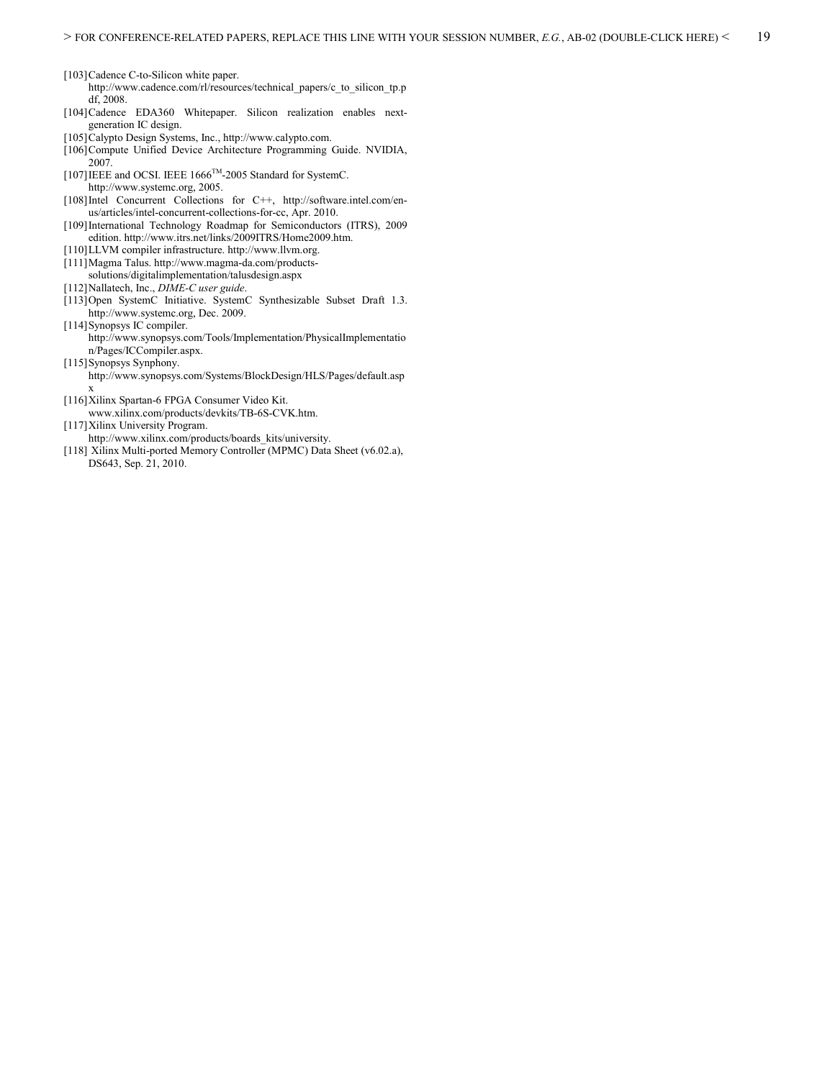[103]Cadence C-to-Silicon white paper.

http://www.cadence.com/rl/resources/technical\_papers/c\_to\_silicon\_tp.p df, 2008.

- [104]Cadence EDA360 Whitepaper. Silicon realization enables nextgeneration IC design.
- [105]Calypto Design Systems, Inc., http://www.calypto.com.
- [106]Compute Unified Device Architecture Programming Guide. NVIDIA, 2007.

[107]IEEE and OCSI. IEEE 1666TM-2005 Standard for SystemC. http://www.systemc.org, 2005.

- [108]Intel Concurrent Collections for C++, http://software.intel.com/enus/articles/intel-concurrent-collections-for-cc, Apr. 2010.
- [109]International Technology Roadmap for Semiconductors (ITRS), 2009 edition. http://www.itrs.net/links/2009ITRS/Home2009.htm.
- [110]LLVM compiler infrastructure. http://www.llvm.org.
- [111]Magma Talus. http://www.magma-da.com/products-
- solutions/digitalimplementation/talusdesign.aspx
- [112]Nallatech, Inc., *DIME-C user guide*.
- [113]Open SystemC Initiative. SystemC Synthesizable Subset Draft 1.3. http://www.systemc.org, Dec. 2009.
- [114]Synopsys IC compiler. http://www.synopsys.com/Tools/Implementation/PhysicalImplementatio n/Pages/ICCompiler.aspx.
- [115]Synopsys Synphony.
- http://www.synopsys.com/Systems/BlockDesign/HLS/Pages/default.asp x
- [116]Xilinx Spartan-6 FPGA Consumer Video Kit.
- www.xilinx.com/products/devkits/TB-6S-CVK.htm. [117]Xilinx University Program.
- http://www.xilinx.com/products/boards\_kits/university.
- [118] Xilinx Multi-ported Memory Controller (MPMC) Data Sheet (v6.02.a), DS643, Sep. 21, 2010.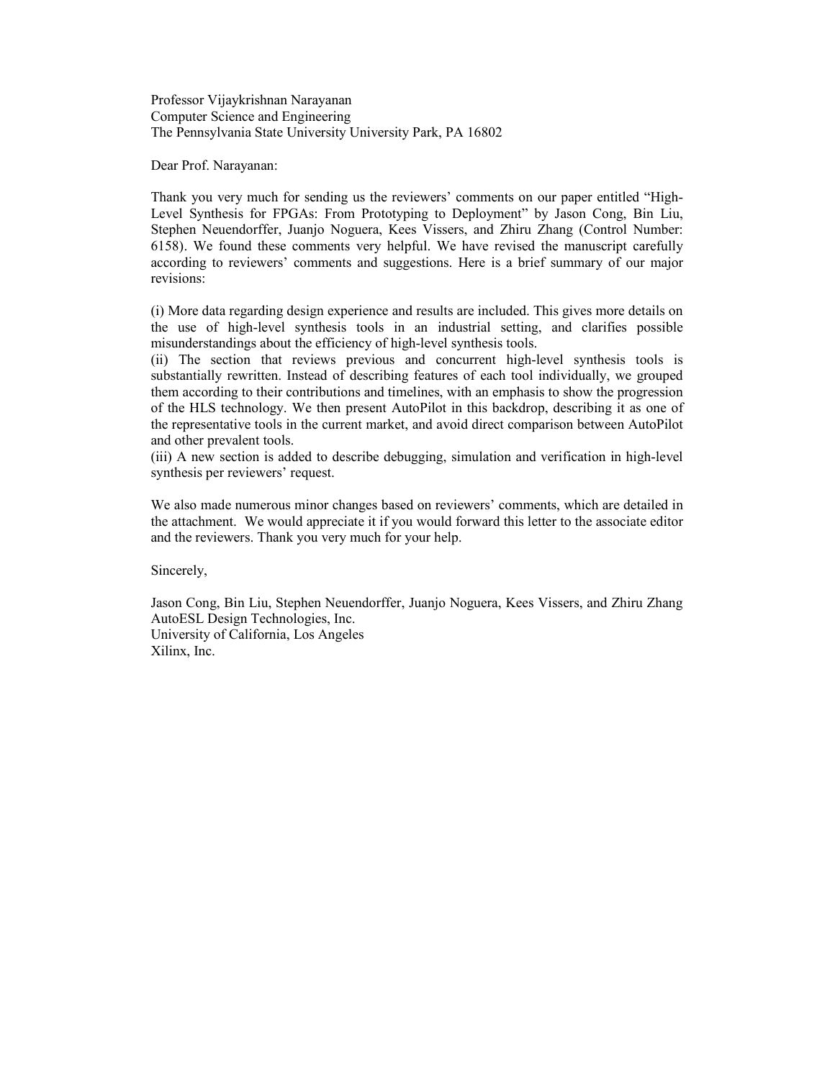Professor Vijaykrishnan Narayanan Computer Science and Engineering The Pennsylvania State University University Park, PA 16802

Dear Prof. Narayanan:

Thank you very much for sending us the reviewers' comments on our paper entitled "High-Level Synthesis for FPGAs: From Prototyping to Deployment" by Jason Cong, Bin Liu, Stephen Neuendorffer, Juanjo Noguera, Kees Vissers, and Zhiru Zhang (Control Number: 6158). We found these comments very helpful. We have revised the manuscript carefully according to reviewers' comments and suggestions. Here is a brief summary of our major revisions:

(i) More data regarding design experience and results are included. This gives more details on the use of high-level synthesis tools in an industrial setting, and clarifies possible misunderstandings about the efficiency of high-level synthesis tools.

(ii) The section that reviews previous and concurrent high-level synthesis tools is substantially rewritten. Instead of describing features of each tool individually, we grouped them according to their contributions and timelines, with an emphasis to show the progression of the HLS technology. We then present AutoPilot in this backdrop, describing it as one of the representative tools in the current market, and avoid direct comparison between AutoPilot and other prevalent tools.

(iii) A new section is added to describe debugging, simulation and verification in high-level synthesis per reviewers' request.

We also made numerous minor changes based on reviewers' comments, which are detailed in the attachment. We would appreciate it if you would forward this letter to the associate editor and the reviewers. Thank you very much for your help.

Sincerely,

Jason Cong, Bin Liu, Stephen Neuendorffer, Juanjo Noguera, Kees Vissers, and Zhiru Zhang AutoESL Design Technologies, Inc. University of California, Los Angeles Xilinx, Inc.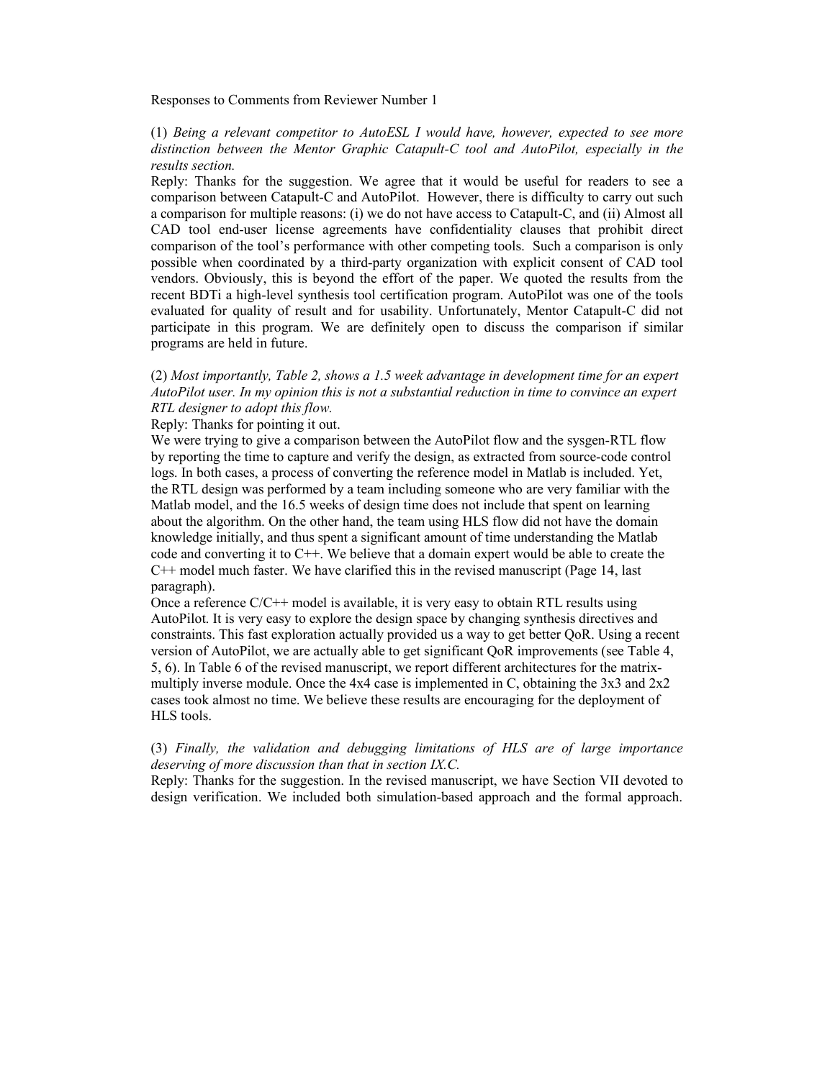# (1) *Being a relevant competitor to AutoESL I would have, however, expected to see more distinction between the Mentor Graphic Catapult-C tool and AutoPilot, especially in the results section.*

Reply: Thanks for the suggestion. We agree that it would be useful for readers to see a comparison between Catapult-C and AutoPilot. However, there is difficulty to carry out such a comparison for multiple reasons: (i) we do not have access to Catapult-C, and (ii) Almost all CAD tool end-user license agreements have confidentiality clauses that prohibit direct comparison of the tool's performance with other competing tools. Such a comparison is only possible when coordinated by a third-party organization with explicit consent of CAD tool vendors. Obviously, this is beyond the effort of the paper. We quoted the results from the recent BDTi a high-level synthesis tool certification program. AutoPilot was one of the tools evaluated for quality of result and for usability. Unfortunately, Mentor Catapult-C did not participate in this program. We are definitely open to discuss the comparison if similar programs are held in future.

# (2) *Most importantly, Table 2, shows a 1.5 week advantage in development time for an expert AutoPilot user. In my opinion this is not a substantial reduction in time to convince an expert RTL designer to adopt this flow.*

# Reply: Thanks for pointing it out.

We were trying to give a comparison between the AutoPilot flow and the sysgen-RTL flow by reporting the time to capture and verify the design, as extracted from source-code control logs. In both cases, a process of converting the reference model in Matlab is included. Yet, the RTL design was performed by a team including someone who are very familiar with the Matlab model, and the 16.5 weeks of design time does not include that spent on learning about the algorithm. On the other hand, the team using HLS flow did not have the domain knowledge initially, and thus spent a significant amount of time understanding the Matlab code and converting it to C++. We believe that a domain expert would be able to create the C++ model much faster. We have clarified this in the revised manuscript (Page 14, last paragraph).

Once a reference  $C/C++$  model is available, it is very easy to obtain RTL results using AutoPilot. It is very easy to explore the design space by changing synthesis directives and constraints. This fast exploration actually provided us a way to get better QoR. Using a recent version of AutoPilot, we are actually able to get significant QoR improvements (see Table 4, 5, 6). In Table 6 of the revised manuscript, we report different architectures for the matrixmultiply inverse module. Once the  $4x4$  case is implemented in C, obtaining the  $3x3$  and  $2x2$ cases took almost no time. We believe these results are encouraging for the deployment of HLS tools.

# (3) *Finally, the validation and debugging limitations of HLS are of large importance deserving of more discussion than that in section IX.C.*

Reply: Thanks for the suggestion. In the revised manuscript, we have Section VII devoted to design verification. We included both simulation-based approach and the formal approach.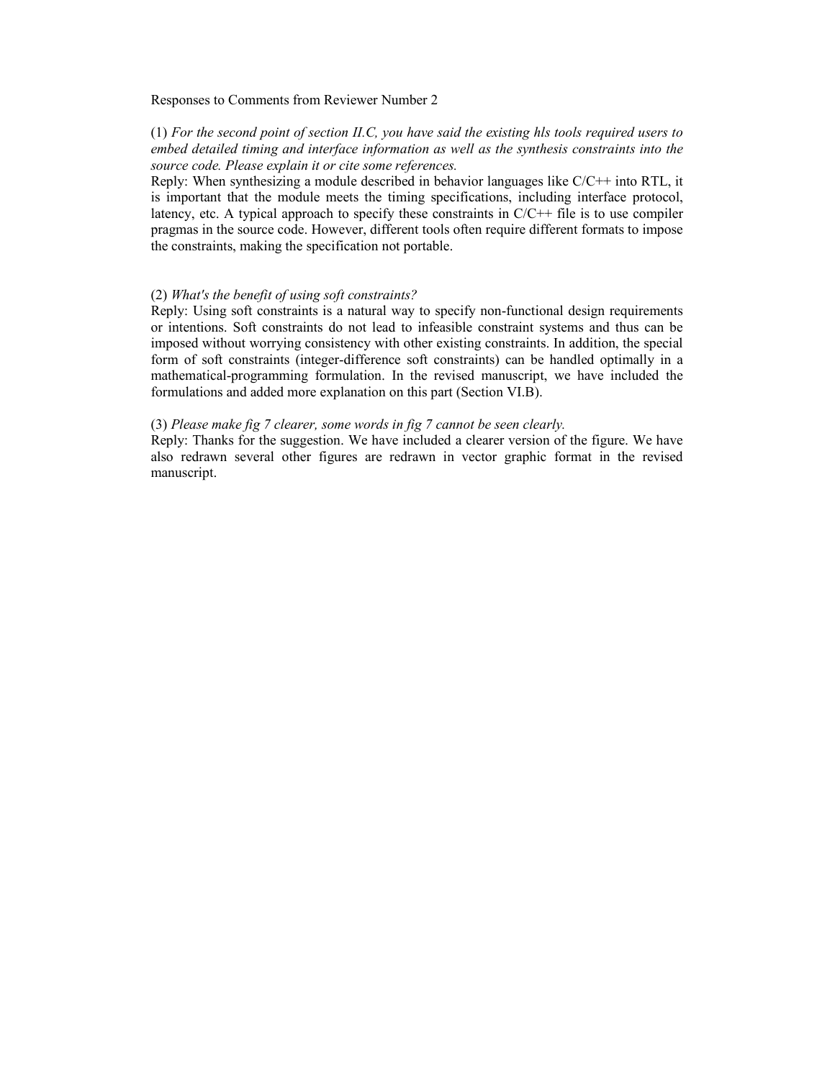# (1) *For the second point of section II.C, you have said the existing hls tools required users to embed detailed timing and interface information as well as the synthesis constraints into the source code. Please explain it or cite some references.*

Reply: When synthesizing a module described in behavior languages like  $C/C++$  into RTL, it is important that the module meets the timing specifications, including interface protocol, latency, etc. A typical approach to specify these constraints in  $C/C++$  file is to use compiler pragmas in the source code. However, different tools often require different formats to impose the constraints, making the specification not portable.

# (2) *What's the benefit of using soft constraints?*

Reply: Using soft constraints is a natural way to specify non-functional design requirements or intentions. Soft constraints do not lead to infeasible constraint systems and thus can be imposed without worrying consistency with other existing constraints. In addition, the special form of soft constraints (integer-difference soft constraints) can be handled optimally in a mathematical-programming formulation. In the revised manuscript, we have included the formulations and added more explanation on this part (Section VI.B).

# (3) *Please make fig 7 clearer, some words in fig 7 cannot be seen clearly.*

Reply: Thanks for the suggestion. We have included a clearer version of the figure. We have also redrawn several other figures are redrawn in vector graphic format in the revised manuscript.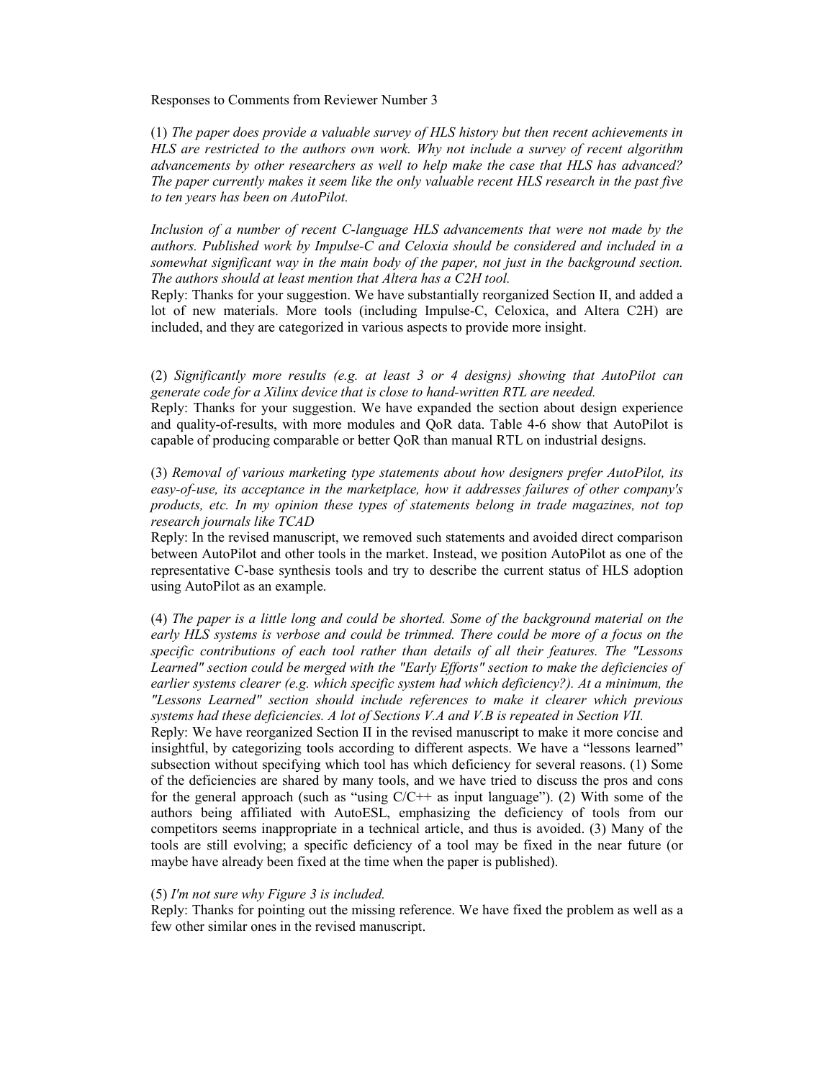(1) *The paper does provide a valuable survey of HLS history but then recent achievements in HLS are restricted to the authors own work. Why not include a survey of recent algorithm advancements by other researchers as well to help make the case that HLS has advanced? The paper currently makes it seem like the only valuable recent HLS research in the past five to ten years has been on AutoPilot.*

*Inclusion of a number of recent C-language HLS advancements that were not made by the authors. Published work by Impulse-C and Celoxia should be considered and included in a somewhat significant way in the main body of the paper, not just in the background section. The authors should at least mention that Altera has a C2H tool.* 

Reply: Thanks for your suggestion. We have substantially reorganized Section II, and added a lot of new materials. More tools (including Impulse-C, Celoxica, and Altera C2H) are included, and they are categorized in various aspects to provide more insight.

(2) *Significantly more results (e.g. at least 3 or 4 designs) showing that AutoPilot can generate code for a Xilinx device that is close to hand-written RTL are needed.*

Reply: Thanks for your suggestion. We have expanded the section about design experience and quality-of-results, with more modules and QoR data. Table 4-6 show that AutoPilot is capable of producing comparable or better QoR than manual RTL on industrial designs.

(3) *Removal of various marketing type statements about how designers prefer AutoPilot, its easy-of-use, its acceptance in the marketplace, how it addresses failures of other company's products, etc. In my opinion these types of statements belong in trade magazines, not top research journals like TCAD*

Reply: In the revised manuscript, we removed such statements and avoided direct comparison between AutoPilot and other tools in the market. Instead, we position AutoPilot as one of the representative C-base synthesis tools and try to describe the current status of HLS adoption using AutoPilot as an example.

(4) *The paper is a little long and could be shorted. Some of the background material on the early HLS systems is verbose and could be trimmed. There could be more of a focus on the specific contributions of each tool rather than details of all their features. The "Lessons Learned" section could be merged with the "Early Efforts" section to make the deficiencies of earlier systems clearer (e.g. which specific system had which deficiency?). At a minimum, the "Lessons Learned" section should include references to make it clearer which previous systems had these deficiencies. A lot of Sections V.A and V.B is repeated in Section VII.*

Reply: We have reorganized Section II in the revised manuscript to make it more concise and insightful, by categorizing tools according to different aspects. We have a "lessons learned" subsection without specifying which tool has which deficiency for several reasons. (1) Some of the deficiencies are shared by many tools, and we have tried to discuss the pros and cons for the general approach (such as "using  $C/C++$  as input language"). (2) With some of the authors being affiliated with AutoESL, emphasizing the deficiency of tools from our competitors seems inappropriate in a technical article, and thus is avoided. (3) Many of the tools are still evolving; a specific deficiency of a tool may be fixed in the near future (or maybe have already been fixed at the time when the paper is published).

# (5) *I'm not sure why Figure 3 is included.*

Reply: Thanks for pointing out the missing reference. We have fixed the problem as well as a few other similar ones in the revised manuscript.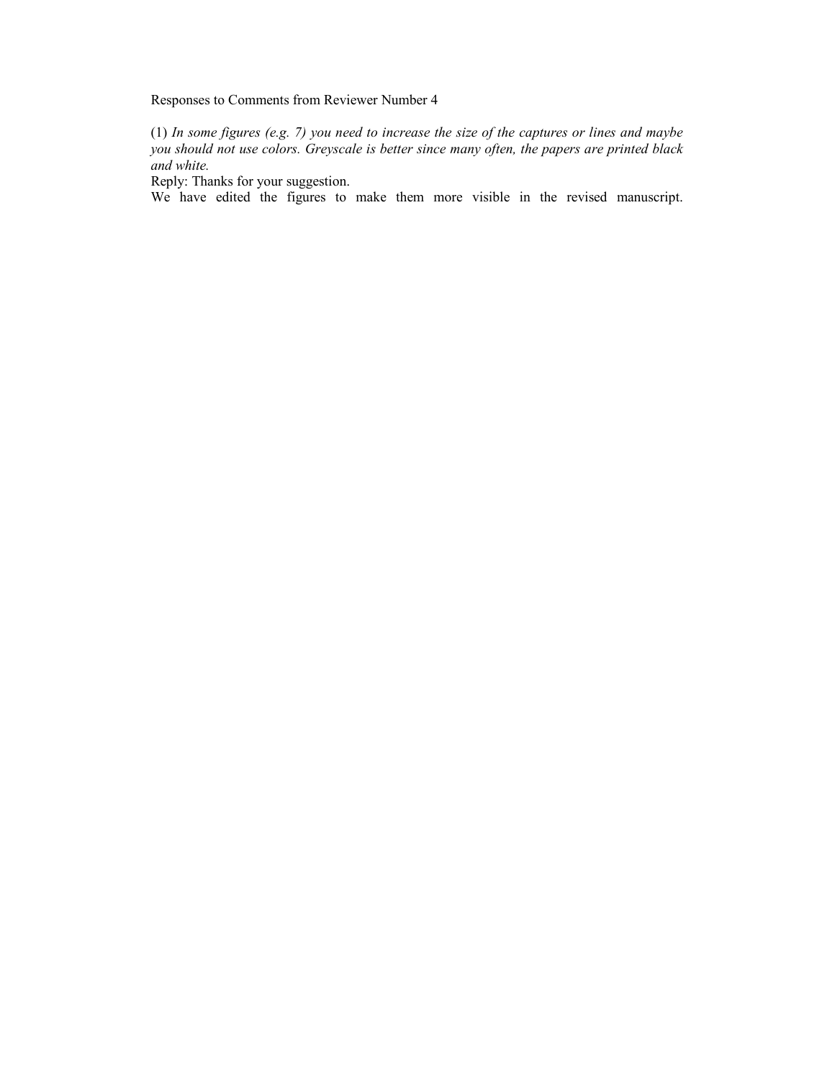(1) *In some figures (e.g. 7) you need to increase the size of the captures or lines and maybe you should not use colors. Greyscale is better since many often, the papers are printed black and white.*

Reply: Thanks for your suggestion.

We have edited the figures to make them more visible in the revised manuscript.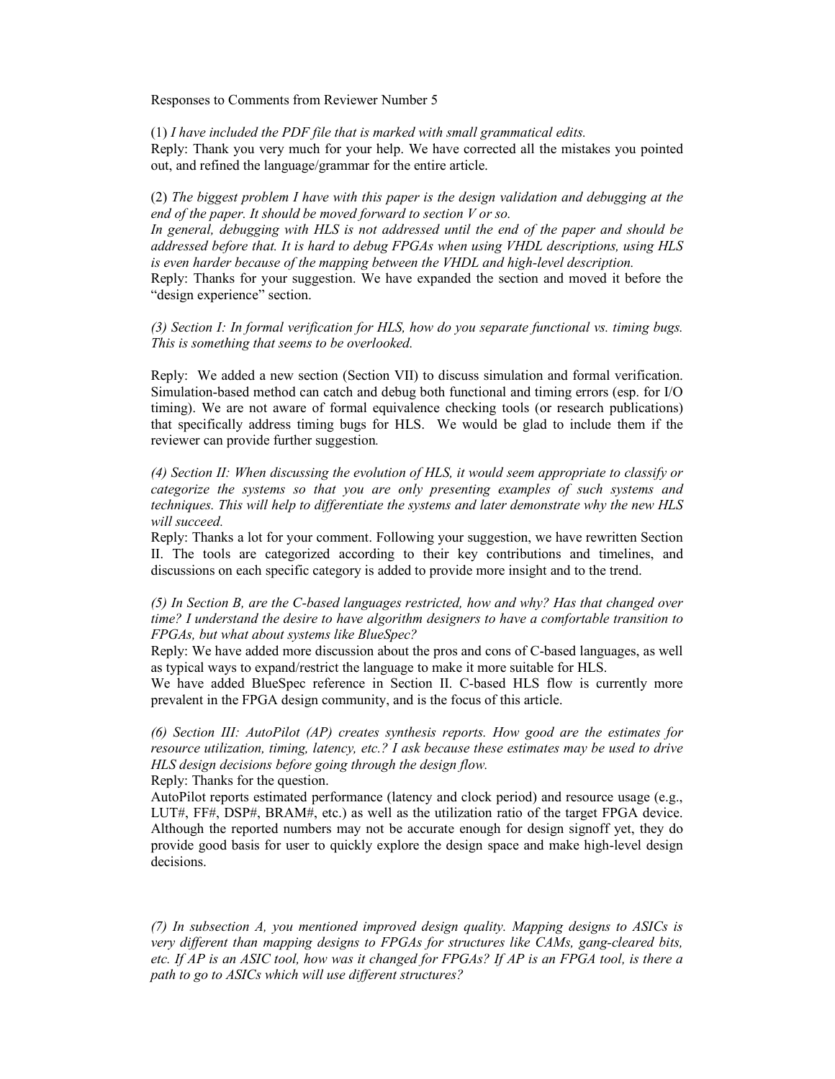(1) *I have included the PDF file that is marked with small grammatical edits.* Reply: Thank you very much for your help. We have corrected all the mistakes you pointed out, and refined the language/grammar for the entire article.

(2) *The biggest problem I have with this paper is the design validation and debugging at the end of the paper. It should be moved forward to section V or so.*

*In general, debugging with HLS is not addressed until the end of the paper and should be addressed before that. It is hard to debug FPGAs when using VHDL descriptions, using HLS is even harder because of the mapping between the VHDL and high-level description.* 

Reply: Thanks for your suggestion. We have expanded the section and moved it before the "design experience" section.

*(3) Section I: In formal verification for HLS, how do you separate functional vs. timing bugs. This is something that seems to be overlooked.* 

Reply: We added a new section (Section VII) to discuss simulation and formal verification. Simulation-based method can catch and debug both functional and timing errors (esp. for I/O timing). We are not aware of formal equivalence checking tools (or research publications) that specifically address timing bugs for HLS. We would be glad to include them if the reviewer can provide further suggestion*.* 

*(4) Section II: When discussing the evolution of HLS, it would seem appropriate to classify or categorize the systems so that you are only presenting examples of such systems and techniques. This will help to differentiate the systems and later demonstrate why the new HLS will succeed.* 

Reply: Thanks a lot for your comment. Following your suggestion, we have rewritten Section II. The tools are categorized according to their key contributions and timelines, and discussions on each specific category is added to provide more insight and to the trend.

*(5) In Section B, are the C-based languages restricted, how and why? Has that changed over time? I understand the desire to have algorithm designers to have a comfortable transition to FPGAs, but what about systems like BlueSpec?* 

Reply: We have added more discussion about the pros and cons of C-based languages, as well as typical ways to expand/restrict the language to make it more suitable for HLS.

We have added BlueSpec reference in Section II. C-based HLS flow is currently more prevalent in the FPGA design community, and is the focus of this article.

*(6) Section III: AutoPilot (AP) creates synthesis reports. How good are the estimates for resource utilization, timing, latency, etc.? I ask because these estimates may be used to drive HLS design decisions before going through the design flow.*  Reply: Thanks for the question.

AutoPilot reports estimated performance (latency and clock period) and resource usage (e.g., LUT#, FF#, DSP#, BRAM#, etc.) as well as the utilization ratio of the target FPGA device. Although the reported numbers may not be accurate enough for design signoff yet, they do provide good basis for user to quickly explore the design space and make high-level design decisions.

*(7) In subsection A, you mentioned improved design quality. Mapping designs to ASICs is very different than mapping designs to FPGAs for structures like CAMs, gang-cleared bits, etc. If AP is an ASIC tool, how was it changed for FPGAs? If AP is an FPGA tool, is there a path to go to ASICs which will use different structures?*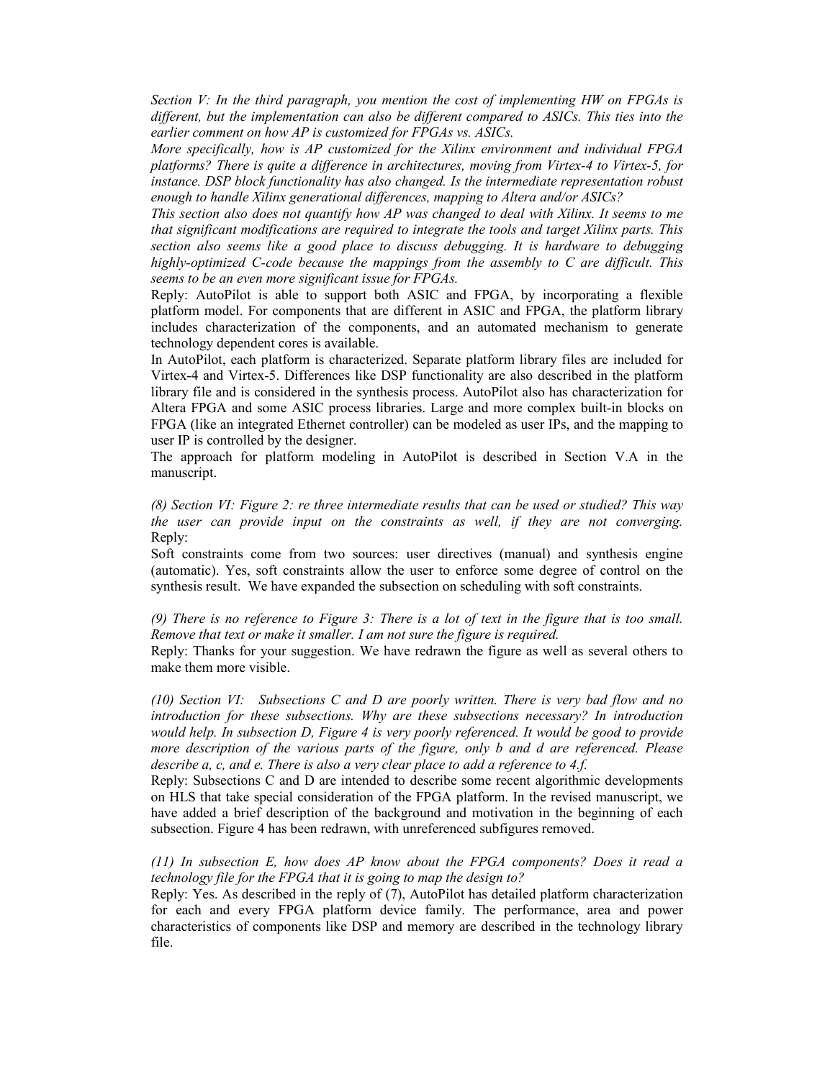*Section V: In the third paragraph, you mention the cost of implementing HW on FPGAs is different, but the implementation can also be different compared to ASICs. This ties into the earlier comment on how AP is customized for FPGAs vs. ASICs.* 

*More specifically, how is AP customized for the Xilinx environment and individual FPGA platforms? There is quite a difference in architectures, moving from Virtex-4 to Virtex-5, for instance. DSP block functionality has also changed. Is the intermediate representation robust enough to handle Xilinx generational differences, mapping to Altera and/or ASICs?* 

*This section also does not quantify how AP was changed to deal with Xilinx. It seems to me that significant modifications are required to integrate the tools and target Xilinx parts. This section also seems like a good place to discuss debugging. It is hardware to debugging highly-optimized C-code because the mappings from the assembly to C are difficult. This seems to be an even more significant issue for FPGAs.* 

Reply: AutoPilot is able to support both ASIC and FPGA, by incorporating a flexible platform model. For components that are different in ASIC and FPGA, the platform library includes characterization of the components, and an automated mechanism to generate technology dependent cores is available.

In AutoPilot, each platform is characterized. Separate platform library files are included for Virtex-4 and Virtex-5. Differences like DSP functionality are also described in the platform library file and is considered in the synthesis process. AutoPilot also has characterization for Altera FPGA and some ASIC process libraries. Large and more complex built-in blocks on FPGA (like an integrated Ethernet controller) can be modeled as user IPs, and the mapping to user IP is controlled by the designer.

The approach for platform modeling in AutoPilot is described in Section V.A in the manuscript.

*(8) Section VI: Figure 2: re three intermediate results that can be used or studied? This way the user can provide input on the constraints as well, if they are not converging.*  Reply:

Soft constraints come from two sources: user directives (manual) and synthesis engine (automatic). Yes, soft constraints allow the user to enforce some degree of control on the synthesis result. We have expanded the subsection on scheduling with soft constraints.

*(9) There is no reference to Figure 3: There is a lot of text in the figure that is too small. Remove that text or make it smaller. I am not sure the figure is required.* 

Reply: Thanks for your suggestion. We have redrawn the figure as well as several others to make them more visible.

*(10) Section VI: Subsections C and D are poorly written. There is very bad flow and no introduction for these subsections. Why are these subsections necessary? In introduction would help. In subsection D, Figure 4 is very poorly referenced. It would be good to provide more description of the various parts of the figure, only b and d are referenced. Please describe a, c, and e. There is also a very clear place to add a reference to 4.f.* 

Reply: Subsections C and D are intended to describe some recent algorithmic developments on HLS that take special consideration of the FPGA platform. In the revised manuscript, we have added a brief description of the background and motivation in the beginning of each subsection. Figure 4 has been redrawn, with unreferenced subfigures removed.

*(11) In subsection E, how does AP know about the FPGA components? Does it read a technology file for the FPGA that it is going to map the design to?* 

Reply: Yes. As described in the reply of (7), AutoPilot has detailed platform characterization for each and every FPGA platform device family. The performance, area and power characteristics of components like DSP and memory are described in the technology library file.